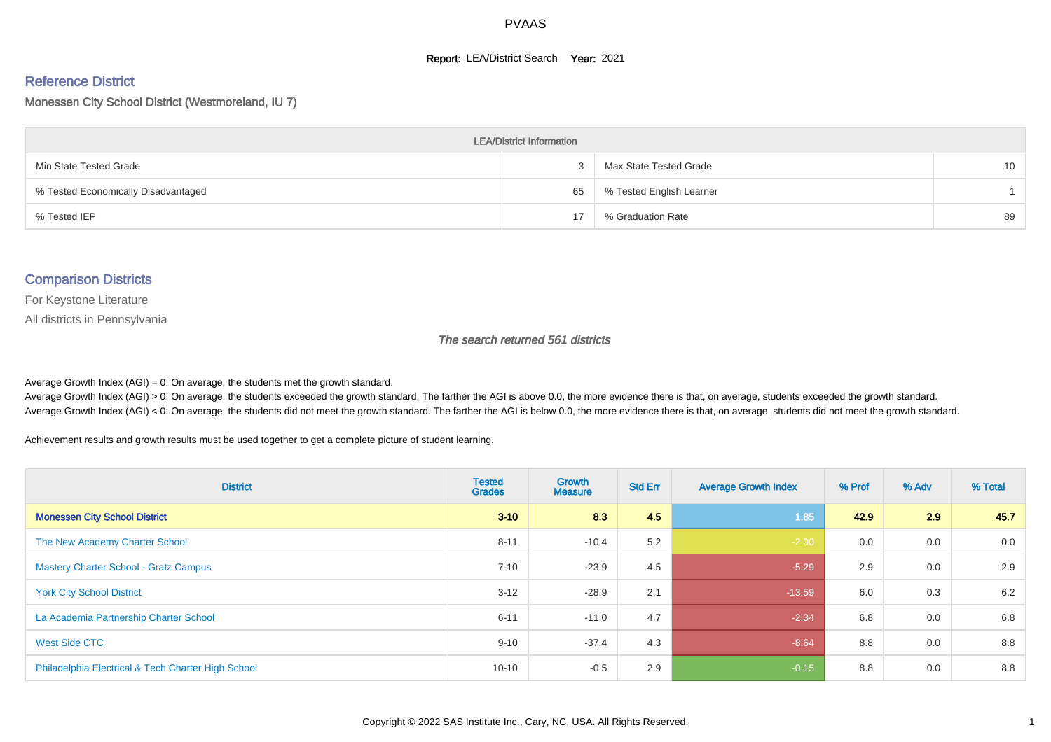#### **Report: LEA/District Search Year: 2021**

# Reference District

Monessen City School District (Westmoreland, IU 7)

| <b>LEA/District Information</b>     |    |                          |                 |  |  |  |  |  |  |  |
|-------------------------------------|----|--------------------------|-----------------|--|--|--|--|--|--|--|
| Min State Tested Grade              |    | Max State Tested Grade   | 10 <sup>°</sup> |  |  |  |  |  |  |  |
| % Tested Economically Disadvantaged | 65 | % Tested English Learner |                 |  |  |  |  |  |  |  |
| % Tested IEP                        | 17 | % Graduation Rate        | 89              |  |  |  |  |  |  |  |

#### Comparison Districts

For Keystone Literature

All districts in Pennsylvania

The search returned 561 districts

Average Growth Index  $(AGI) = 0$ : On average, the students met the growth standard.

Average Growth Index (AGI) > 0: On average, the students exceeded the growth standard. The farther the AGI is above 0.0, the more evidence there is that, on average, students exceeded the growth standard. Average Growth Index (AGI) < 0: On average, the students did not meet the growth standard. The farther the AGI is below 0.0, the more evidence there is that, on average, students did not meet the growth standard.

Achievement results and growth results must be used together to get a complete picture of student learning.

| <b>District</b>                                    | <b>Tested</b><br><b>Grades</b> | Growth<br><b>Measure</b> | <b>Std Err</b> | <b>Average Growth Index</b> | % Prof | % Adv | % Total |
|----------------------------------------------------|--------------------------------|--------------------------|----------------|-----------------------------|--------|-------|---------|
| <b>Monessen City School District</b>               | $3 - 10$                       | 8.3                      | 4.5            | 1.85                        | 42.9   | 2.9   | 45.7    |
| The New Academy Charter School                     | $8 - 11$                       | $-10.4$                  | 5.2            | $-2.00$                     | 0.0    | 0.0   | 0.0     |
| <b>Mastery Charter School - Gratz Campus</b>       | $7 - 10$                       | $-23.9$                  | 4.5            | $-5.29$                     | 2.9    | 0.0   | 2.9     |
| <b>York City School District</b>                   | $3 - 12$                       | $-28.9$                  | 2.1            | $-13.59$                    | 6.0    | 0.3   | 6.2     |
| La Academia Partnership Charter School             | $6 - 11$                       | $-11.0$                  | 4.7            | $-2.34$                     | 6.8    | 0.0   | 6.8     |
| West Side CTC                                      | $9 - 10$                       | $-37.4$                  | 4.3            | $-8.64$                     | 8.8    | 0.0   | 8.8     |
| Philadelphia Electrical & Tech Charter High School | $10 - 10$                      | $-0.5$                   | 2.9            | $-0.15$                     | 8.8    | 0.0   | 8.8     |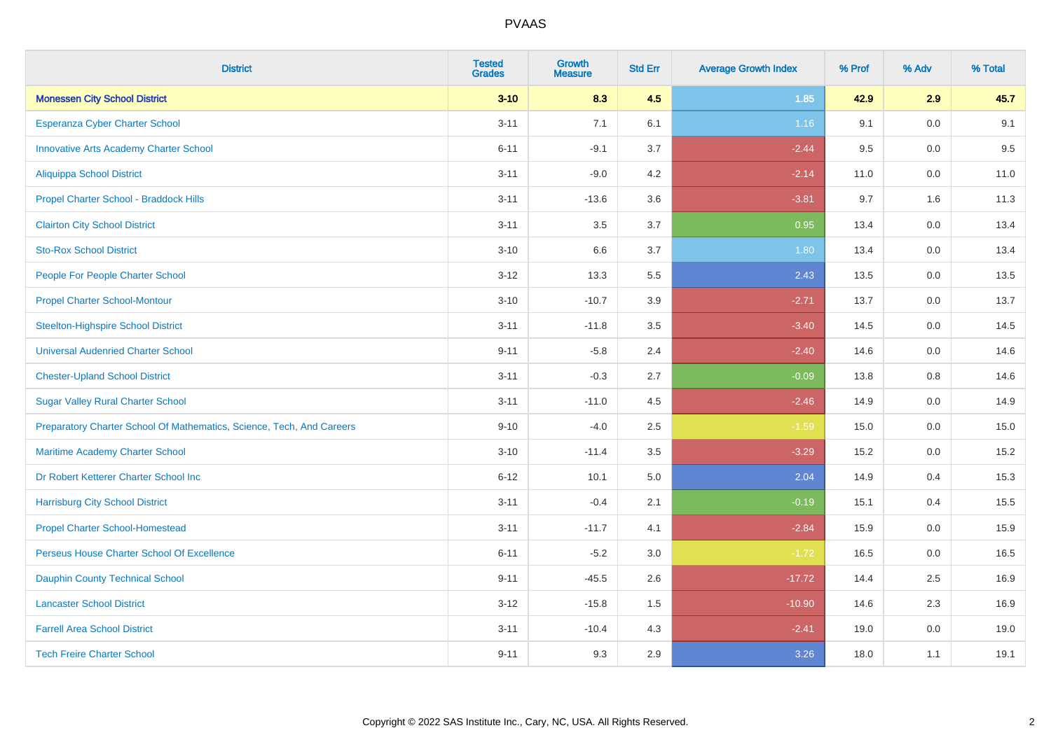| <b>District</b>                                                       | <b>Tested</b><br><b>Grades</b> | <b>Growth</b><br><b>Measure</b> | <b>Std Err</b> | <b>Average Growth Index</b> | % Prof | % Adv   | % Total |
|-----------------------------------------------------------------------|--------------------------------|---------------------------------|----------------|-----------------------------|--------|---------|---------|
| <b>Monessen City School District</b>                                  | $3 - 10$                       | 8.3                             | 4.5            | 1.85                        | 42.9   | 2.9     | 45.7    |
| Esperanza Cyber Charter School                                        | $3 - 11$                       | 7.1                             | 6.1            | 1.16                        | 9.1    | 0.0     | 9.1     |
| <b>Innovative Arts Academy Charter School</b>                         | $6 - 11$                       | $-9.1$                          | 3.7            | $-2.44$                     | 9.5    | 0.0     | 9.5     |
| Aliquippa School District                                             | $3 - 11$                       | $-9.0$                          | 4.2            | $-2.14$                     | 11.0   | $0.0\,$ | 11.0    |
| Propel Charter School - Braddock Hills                                | $3 - 11$                       | $-13.6$                         | 3.6            | $-3.81$                     | 9.7    | 1.6     | 11.3    |
| <b>Clairton City School District</b>                                  | $3 - 11$                       | 3.5                             | 3.7            | 0.95                        | 13.4   | 0.0     | 13.4    |
| <b>Sto-Rox School District</b>                                        | $3 - 10$                       | 6.6                             | 3.7            | 1.80                        | 13.4   | 0.0     | 13.4    |
| People For People Charter School                                      | $3 - 12$                       | 13.3                            | 5.5            | 2.43                        | 13.5   | 0.0     | 13.5    |
| <b>Propel Charter School-Montour</b>                                  | $3 - 10$                       | $-10.7$                         | 3.9            | $-2.71$                     | 13.7   | 0.0     | 13.7    |
| <b>Steelton-Highspire School District</b>                             | $3 - 11$                       | $-11.8$                         | 3.5            | $-3.40$                     | 14.5   | 0.0     | 14.5    |
| <b>Universal Audenried Charter School</b>                             | $9 - 11$                       | $-5.8$                          | 2.4            | $-2.40$                     | 14.6   | 0.0     | 14.6    |
| <b>Chester-Upland School District</b>                                 | $3 - 11$                       | $-0.3$                          | 2.7            | $-0.09$                     | 13.8   | 0.8     | 14.6    |
| <b>Sugar Valley Rural Charter School</b>                              | $3 - 11$                       | $-11.0$                         | 4.5            | $-2.46$                     | 14.9   | $0.0\,$ | 14.9    |
| Preparatory Charter School Of Mathematics, Science, Tech, And Careers | $9 - 10$                       | $-4.0$                          | 2.5            | $-1.59$                     | 15.0   | 0.0     | 15.0    |
| Maritime Academy Charter School                                       | $3 - 10$                       | $-11.4$                         | 3.5            | $-3.29$                     | 15.2   | 0.0     | 15.2    |
| Dr Robert Ketterer Charter School Inc                                 | $6 - 12$                       | 10.1                            | 5.0            | 2.04                        | 14.9   | 0.4     | 15.3    |
| <b>Harrisburg City School District</b>                                | $3 - 11$                       | $-0.4$                          | 2.1            | $-0.19$                     | 15.1   | 0.4     | 15.5    |
| <b>Propel Charter School-Homestead</b>                                | $3 - 11$                       | $-11.7$                         | 4.1            | $-2.84$                     | 15.9   | 0.0     | 15.9    |
| Perseus House Charter School Of Excellence                            | $6 - 11$                       | $-5.2$                          | 3.0            | $-1.72$                     | 16.5   | $0.0\,$ | 16.5    |
| <b>Dauphin County Technical School</b>                                | $9 - 11$                       | $-45.5$                         | 2.6            | $-17.72$                    | 14.4   | 2.5     | 16.9    |
| <b>Lancaster School District</b>                                      | $3 - 12$                       | $-15.8$                         | 1.5            | $-10.90$                    | 14.6   | 2.3     | 16.9    |
| <b>Farrell Area School District</b>                                   | $3 - 11$                       | $-10.4$                         | 4.3            | $-2.41$                     | 19.0   | 0.0     | 19.0    |
| <b>Tech Freire Charter School</b>                                     | $9 - 11$                       | 9.3                             | 2.9            | 3.26                        | 18.0   | 1.1     | 19.1    |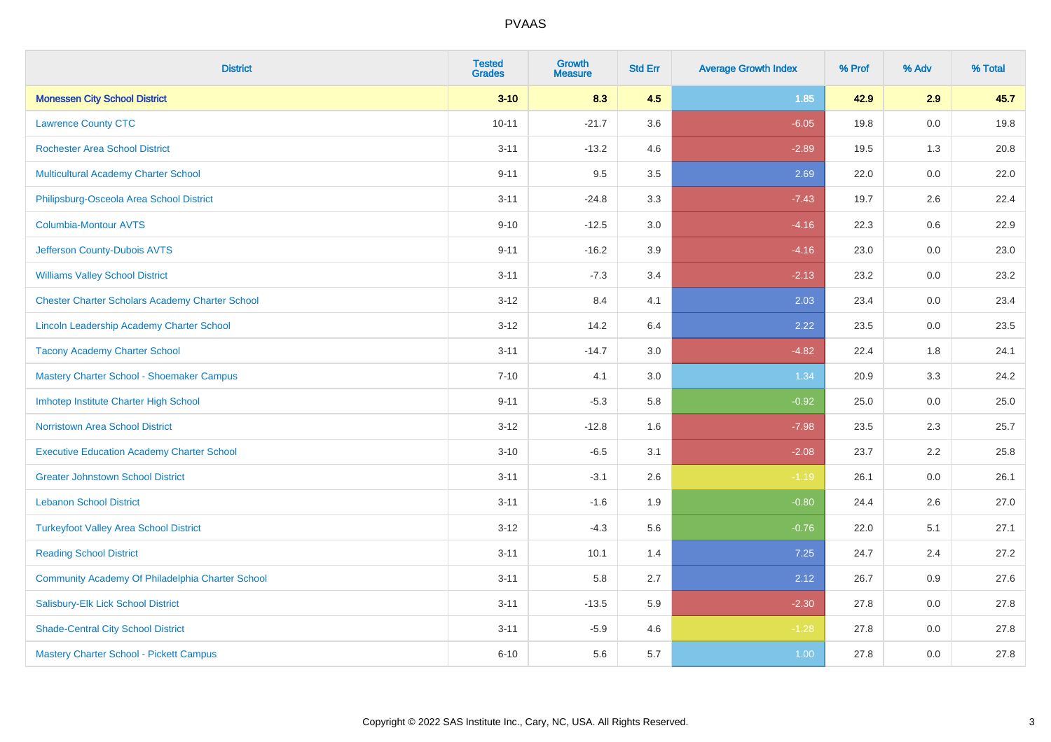| <b>District</b>                                        | <b>Tested</b><br><b>Grades</b> | <b>Growth</b><br><b>Measure</b> | <b>Std Err</b> | <b>Average Growth Index</b> | % Prof | % Adv   | % Total |
|--------------------------------------------------------|--------------------------------|---------------------------------|----------------|-----------------------------|--------|---------|---------|
| <b>Monessen City School District</b>                   | $3 - 10$                       | 8.3                             | 4.5            | 1.85                        | 42.9   | 2.9     | 45.7    |
| <b>Lawrence County CTC</b>                             | $10 - 11$                      | $-21.7$                         | 3.6            | $-6.05$                     | 19.8   | $0.0\,$ | 19.8    |
| <b>Rochester Area School District</b>                  | $3 - 11$                       | $-13.2$                         | 4.6            | $-2.89$                     | 19.5   | 1.3     | 20.8    |
| Multicultural Academy Charter School                   | $9 - 11$                       | 9.5                             | 3.5            | 2.69                        | 22.0   | 0.0     | 22.0    |
| Philipsburg-Osceola Area School District               | $3 - 11$                       | $-24.8$                         | 3.3            | $-7.43$                     | 19.7   | 2.6     | 22.4    |
| <b>Columbia-Montour AVTS</b>                           | $9 - 10$                       | $-12.5$                         | 3.0            | $-4.16$                     | 22.3   | 0.6     | 22.9    |
| Jefferson County-Dubois AVTS                           | $9 - 11$                       | $-16.2$                         | 3.9            | $-4.16$                     | 23.0   | 0.0     | 23.0    |
| <b>Williams Valley School District</b>                 | $3 - 11$                       | $-7.3$                          | 3.4            | $-2.13$                     | 23.2   | 0.0     | 23.2    |
| <b>Chester Charter Scholars Academy Charter School</b> | $3 - 12$                       | 8.4                             | 4.1            | 2.03                        | 23.4   | 0.0     | 23.4    |
| Lincoln Leadership Academy Charter School              | $3 - 12$                       | 14.2                            | 6.4            | 2.22                        | 23.5   | 0.0     | 23.5    |
| <b>Tacony Academy Charter School</b>                   | $3 - 11$                       | $-14.7$                         | 3.0            | $-4.82$                     | 22.4   | 1.8     | 24.1    |
| Mastery Charter School - Shoemaker Campus              | $7 - 10$                       | 4.1                             | 3.0            | 1.34                        | 20.9   | 3.3     | 24.2    |
| Imhotep Institute Charter High School                  | $9 - 11$                       | $-5.3$                          | 5.8            | $-0.92$                     | 25.0   | $0.0\,$ | 25.0    |
| <b>Norristown Area School District</b>                 | $3 - 12$                       | $-12.8$                         | 1.6            | $-7.98$                     | 23.5   | 2.3     | 25.7    |
| <b>Executive Education Academy Charter School</b>      | $3 - 10$                       | $-6.5$                          | 3.1            | $-2.08$                     | 23.7   | 2.2     | 25.8    |
| <b>Greater Johnstown School District</b>               | $3 - 11$                       | $-3.1$                          | 2.6            | $-1.19$                     | 26.1   | $0.0\,$ | 26.1    |
| <b>Lebanon School District</b>                         | $3 - 11$                       | $-1.6$                          | 1.9            | $-0.80$                     | 24.4   | 2.6     | 27.0    |
| <b>Turkeyfoot Valley Area School District</b>          | $3 - 12$                       | $-4.3$                          | 5.6            | $-0.76$                     | 22.0   | 5.1     | 27.1    |
| <b>Reading School District</b>                         | $3 - 11$                       | 10.1                            | 1.4            | 7.25                        | 24.7   | 2.4     | 27.2    |
| Community Academy Of Philadelphia Charter School       | $3 - 11$                       | 5.8                             | 2.7            | 2.12                        | 26.7   | 0.9     | 27.6    |
| Salisbury-Elk Lick School District                     | $3 - 11$                       | $-13.5$                         | 5.9            | $-2.30$                     | 27.8   | 0.0     | 27.8    |
| <b>Shade-Central City School District</b>              | $3 - 11$                       | $-5.9$                          | 4.6            | $-1.28$                     | 27.8   | 0.0     | 27.8    |
| Mastery Charter School - Pickett Campus                | $6 - 10$                       | 5.6                             | 5.7            | 1.00                        | 27.8   | 0.0     | 27.8    |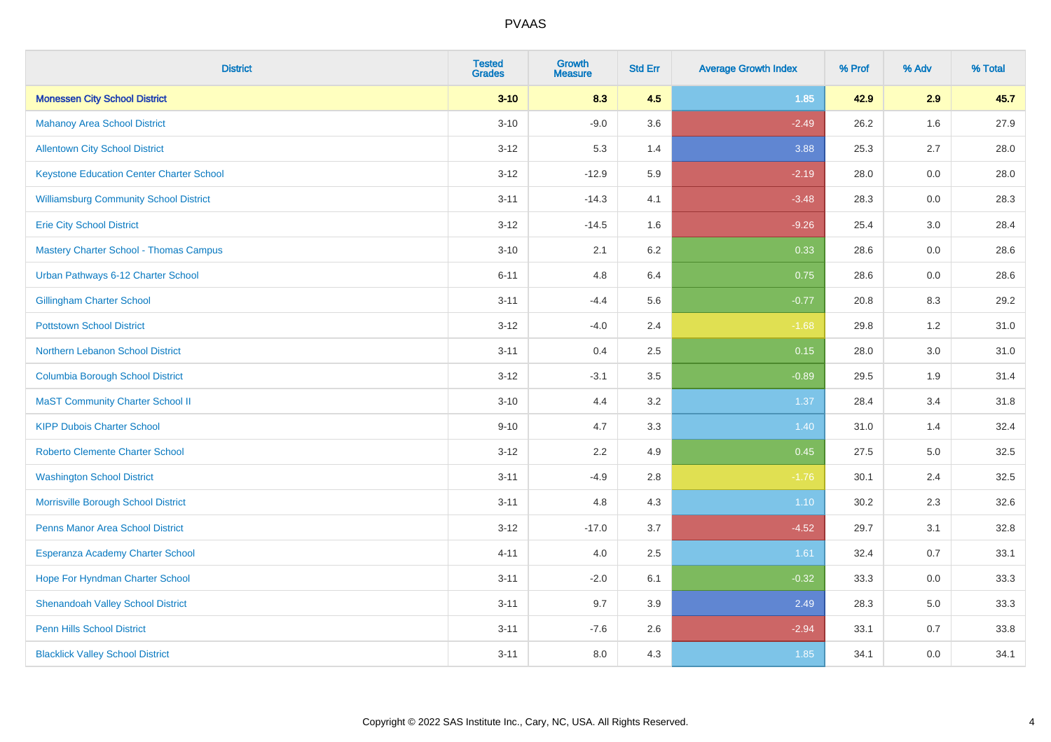| <b>District</b>                                 | <b>Tested</b><br><b>Grades</b> | <b>Growth</b><br><b>Measure</b> | <b>Std Err</b> | <b>Average Growth Index</b> | % Prof | % Adv | % Total |
|-------------------------------------------------|--------------------------------|---------------------------------|----------------|-----------------------------|--------|-------|---------|
| <b>Monessen City School District</b>            | $3 - 10$                       | 8.3                             | 4.5            | 1.85                        | 42.9   | 2.9   | 45.7    |
| <b>Mahanoy Area School District</b>             | $3 - 10$                       | $-9.0$                          | 3.6            | $-2.49$                     | 26.2   | 1.6   | 27.9    |
| <b>Allentown City School District</b>           | $3 - 12$                       | 5.3                             | 1.4            | 3.88                        | 25.3   | 2.7   | 28.0    |
| <b>Keystone Education Center Charter School</b> | $3 - 12$                       | $-12.9$                         | 5.9            | $-2.19$                     | 28.0   | 0.0   | 28.0    |
| <b>Williamsburg Community School District</b>   | $3 - 11$                       | $-14.3$                         | 4.1            | $-3.48$                     | 28.3   | 0.0   | 28.3    |
| <b>Erie City School District</b>                | $3 - 12$                       | $-14.5$                         | 1.6            | $-9.26$                     | 25.4   | 3.0   | 28.4    |
| <b>Mastery Charter School - Thomas Campus</b>   | $3 - 10$                       | 2.1                             | 6.2            | 0.33                        | 28.6   | 0.0   | 28.6    |
| Urban Pathways 6-12 Charter School              | $6 - 11$                       | 4.8                             | 6.4            | 0.75                        | 28.6   | 0.0   | 28.6    |
| <b>Gillingham Charter School</b>                | $3 - 11$                       | $-4.4$                          | 5.6            | $-0.77$                     | 20.8   | 8.3   | 29.2    |
| <b>Pottstown School District</b>                | $3 - 12$                       | $-4.0$                          | 2.4            | $-1.68$                     | 29.8   | 1.2   | 31.0    |
| Northern Lebanon School District                | $3 - 11$                       | 0.4                             | 2.5            | 0.15                        | 28.0   | 3.0   | 31.0    |
| <b>Columbia Borough School District</b>         | $3 - 12$                       | $-3.1$                          | 3.5            | $-0.89$                     | 29.5   | 1.9   | 31.4    |
| <b>MaST Community Charter School II</b>         | $3 - 10$                       | 4.4                             | 3.2            | 1.37                        | 28.4   | 3.4   | 31.8    |
| <b>KIPP Dubois Charter School</b>               | $9 - 10$                       | 4.7                             | 3.3            | 1.40                        | 31.0   | 1.4   | 32.4    |
| <b>Roberto Clemente Charter School</b>          | $3 - 12$                       | 2.2                             | 4.9            | 0.45                        | 27.5   | 5.0   | 32.5    |
| <b>Washington School District</b>               | $3 - 11$                       | $-4.9$                          | 2.8            | $-1.76$                     | 30.1   | 2.4   | 32.5    |
| Morrisville Borough School District             | $3 - 11$                       | 4.8                             | 4.3            | 1.10                        | 30.2   | 2.3   | 32.6    |
| Penns Manor Area School District                | $3 - 12$                       | $-17.0$                         | 3.7            | $-4.52$                     | 29.7   | 3.1   | 32.8    |
| Esperanza Academy Charter School                | $4 - 11$                       | 4.0                             | 2.5            | 1.61                        | 32.4   | 0.7   | 33.1    |
| Hope For Hyndman Charter School                 | $3 - 11$                       | $-2.0$                          | 6.1            | $-0.32$                     | 33.3   | 0.0   | 33.3    |
| <b>Shenandoah Valley School District</b>        | $3 - 11$                       | 9.7                             | 3.9            | 2.49                        | 28.3   | 5.0   | 33.3    |
| <b>Penn Hills School District</b>               | $3 - 11$                       | $-7.6$                          | 2.6            | $-2.94$                     | 33.1   | 0.7   | 33.8    |
| <b>Blacklick Valley School District</b>         | $3 - 11$                       | 8.0                             | 4.3            | 1.85                        | 34.1   | 0.0   | 34.1    |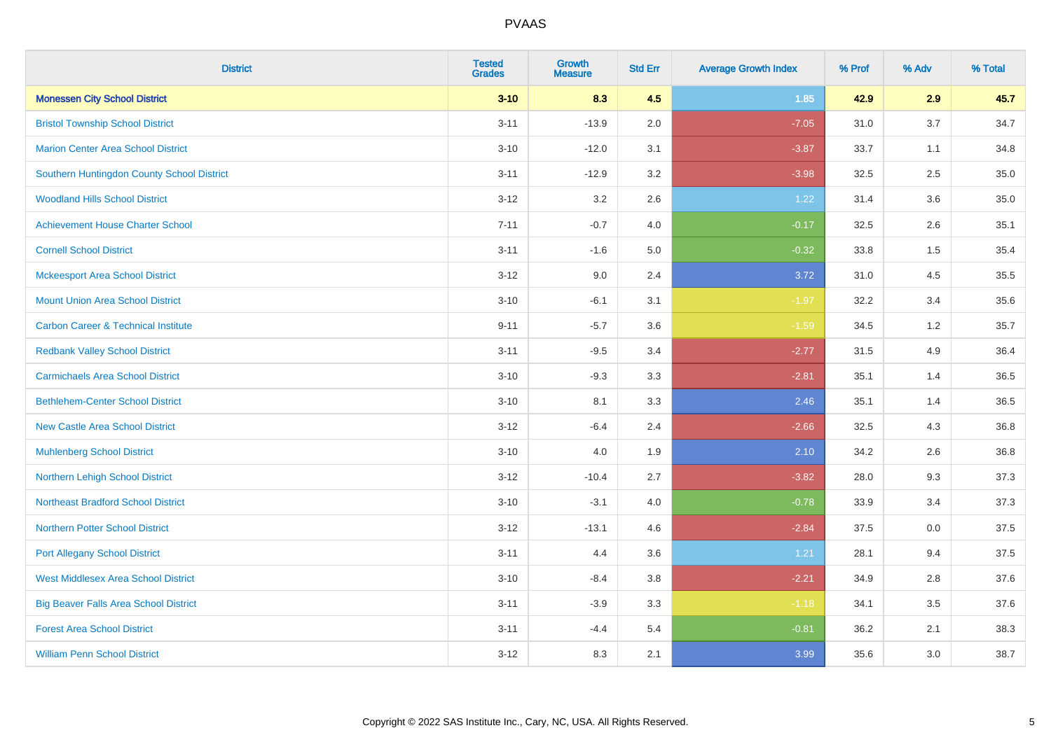| <b>District</b>                                | <b>Tested</b><br><b>Grades</b> | <b>Growth</b><br><b>Measure</b> | <b>Std Err</b> | <b>Average Growth Index</b> | % Prof | % Adv | % Total |
|------------------------------------------------|--------------------------------|---------------------------------|----------------|-----------------------------|--------|-------|---------|
| <b>Monessen City School District</b>           | $3 - 10$                       | 8.3                             | 4.5            | 1.85                        | 42.9   | 2.9   | 45.7    |
| <b>Bristol Township School District</b>        | $3 - 11$                       | $-13.9$                         | 2.0            | $-7.05$                     | 31.0   | 3.7   | 34.7    |
| <b>Marion Center Area School District</b>      | $3 - 10$                       | $-12.0$                         | 3.1            | $-3.87$                     | 33.7   | 1.1   | 34.8    |
| Southern Huntingdon County School District     | $3 - 11$                       | $-12.9$                         | 3.2            | $-3.98$                     | 32.5   | 2.5   | 35.0    |
| <b>Woodland Hills School District</b>          | $3 - 12$                       | 3.2                             | 2.6            | 1.22                        | 31.4   | 3.6   | 35.0    |
| <b>Achievement House Charter School</b>        | $7 - 11$                       | $-0.7$                          | 4.0            | $-0.17$                     | 32.5   | 2.6   | 35.1    |
| <b>Cornell School District</b>                 | $3 - 11$                       | $-1.6$                          | 5.0            | $-0.32$                     | 33.8   | 1.5   | 35.4    |
| <b>Mckeesport Area School District</b>         | $3 - 12$                       | 9.0                             | 2.4            | 3.72                        | 31.0   | 4.5   | 35.5    |
| <b>Mount Union Area School District</b>        | $3 - 10$                       | $-6.1$                          | 3.1            | $-1.97$                     | 32.2   | 3.4   | 35.6    |
| <b>Carbon Career &amp; Technical Institute</b> | $9 - 11$                       | $-5.7$                          | 3.6            | $-1.59$                     | 34.5   | 1.2   | 35.7    |
| <b>Redbank Valley School District</b>          | $3 - 11$                       | $-9.5$                          | 3.4            | $-2.77$                     | 31.5   | 4.9   | 36.4    |
| <b>Carmichaels Area School District</b>        | $3 - 10$                       | $-9.3$                          | 3.3            | $-2.81$                     | 35.1   | 1.4   | 36.5    |
| <b>Bethlehem-Center School District</b>        | $3 - 10$                       | 8.1                             | 3.3            | 2.46                        | 35.1   | 1.4   | 36.5    |
| <b>New Castle Area School District</b>         | $3 - 12$                       | $-6.4$                          | 2.4            | $-2.66$                     | 32.5   | 4.3   | 36.8    |
| <b>Muhlenberg School District</b>              | $3 - 10$                       | 4.0                             | 1.9            | 2.10                        | 34.2   | 2.6   | 36.8    |
| Northern Lehigh School District                | $3 - 12$                       | $-10.4$                         | 2.7            | $-3.82$                     | 28.0   | 9.3   | 37.3    |
| <b>Northeast Bradford School District</b>      | $3 - 10$                       | $-3.1$                          | 4.0            | $-0.78$                     | 33.9   | 3.4   | 37.3    |
| <b>Northern Potter School District</b>         | $3 - 12$                       | $-13.1$                         | 4.6            | $-2.84$                     | 37.5   | 0.0   | 37.5    |
| <b>Port Allegany School District</b>           | $3 - 11$                       | 4.4                             | 3.6            | 1.21                        | 28.1   | 9.4   | 37.5    |
| <b>West Middlesex Area School District</b>     | $3 - 10$                       | $-8.4$                          | 3.8            | $-2.21$                     | 34.9   | 2.8   | 37.6    |
| <b>Big Beaver Falls Area School District</b>   | $3 - 11$                       | $-3.9$                          | 3.3            | $-1.18$                     | 34.1   | 3.5   | 37.6    |
| <b>Forest Area School District</b>             | $3 - 11$                       | $-4.4$                          | 5.4            | $-0.81$                     | 36.2   | 2.1   | 38.3    |
| <b>William Penn School District</b>            | $3 - 12$                       | 8.3                             | 2.1            | 3.99                        | 35.6   | 3.0   | 38.7    |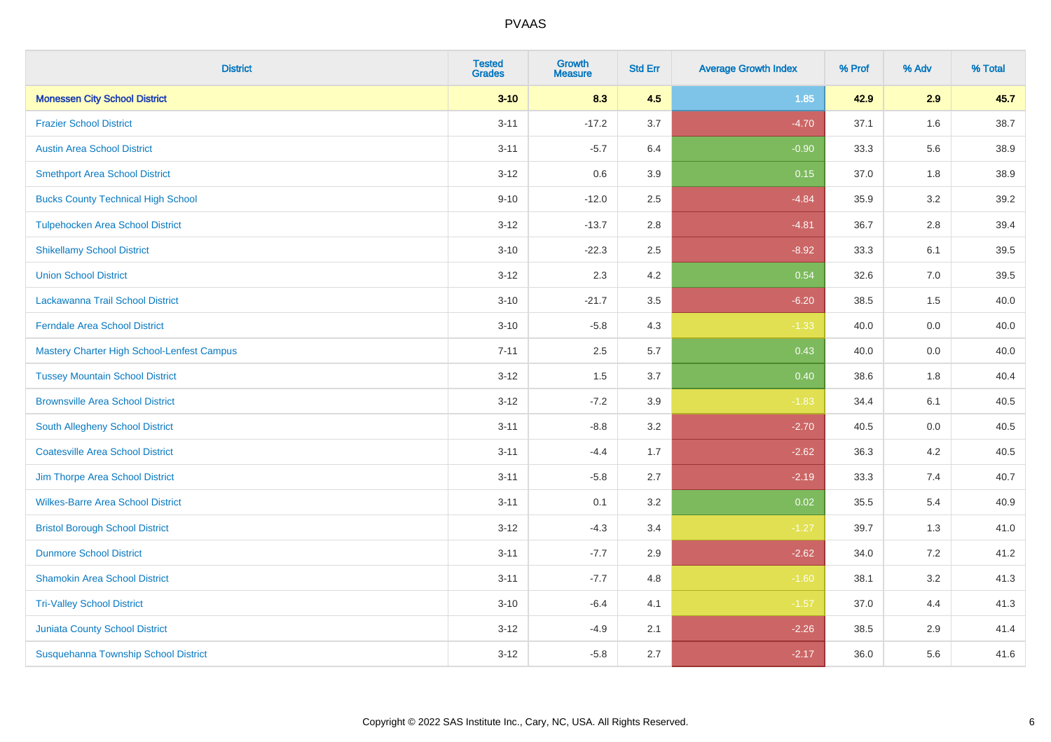| <b>District</b>                            | <b>Tested</b><br><b>Grades</b> | <b>Growth</b><br><b>Measure</b> | <b>Std Err</b> | <b>Average Growth Index</b> | % Prof | % Adv | % Total |
|--------------------------------------------|--------------------------------|---------------------------------|----------------|-----------------------------|--------|-------|---------|
| <b>Monessen City School District</b>       | $3 - 10$                       | 8.3                             | 4.5            | 1.85                        | 42.9   | 2.9   | 45.7    |
| <b>Frazier School District</b>             | $3 - 11$                       | $-17.2$                         | 3.7            | $-4.70$                     | 37.1   | 1.6   | 38.7    |
| <b>Austin Area School District</b>         | $3 - 11$                       | $-5.7$                          | 6.4            | $-0.90$                     | 33.3   | 5.6   | 38.9    |
| <b>Smethport Area School District</b>      | $3 - 12$                       | 0.6                             | 3.9            | 0.15                        | 37.0   | 1.8   | 38.9    |
| <b>Bucks County Technical High School</b>  | $9 - 10$                       | $-12.0$                         | 2.5            | $-4.84$                     | 35.9   | 3.2   | 39.2    |
| <b>Tulpehocken Area School District</b>    | $3 - 12$                       | $-13.7$                         | 2.8            | $-4.81$                     | 36.7   | 2.8   | 39.4    |
| <b>Shikellamy School District</b>          | $3 - 10$                       | $-22.3$                         | 2.5            | $-8.92$                     | 33.3   | 6.1   | 39.5    |
| <b>Union School District</b>               | $3 - 12$                       | 2.3                             | 4.2            | 0.54                        | 32.6   | 7.0   | 39.5    |
| Lackawanna Trail School District           | $3 - 10$                       | $-21.7$                         | 3.5            | $-6.20$                     | 38.5   | 1.5   | 40.0    |
| <b>Ferndale Area School District</b>       | $3 - 10$                       | $-5.8$                          | 4.3            | $-1.33$                     | 40.0   | 0.0   | 40.0    |
| Mastery Charter High School-Lenfest Campus | $7 - 11$                       | 2.5                             | 5.7            | 0.43                        | 40.0   | 0.0   | 40.0    |
| <b>Tussey Mountain School District</b>     | $3 - 12$                       | 1.5                             | 3.7            | 0.40                        | 38.6   | 1.8   | 40.4    |
| <b>Brownsville Area School District</b>    | $3 - 12$                       | $-7.2$                          | 3.9            | $-1.83$                     | 34.4   | 6.1   | 40.5    |
| South Allegheny School District            | $3 - 11$                       | $-8.8$                          | 3.2            | $-2.70$                     | 40.5   | 0.0   | 40.5    |
| <b>Coatesville Area School District</b>    | $3 - 11$                       | $-4.4$                          | 1.7            | $-2.62$                     | 36.3   | 4.2   | 40.5    |
| Jim Thorpe Area School District            | $3 - 11$                       | $-5.8$                          | 2.7            | $-2.19$                     | 33.3   | 7.4   | 40.7    |
| <b>Wilkes-Barre Area School District</b>   | $3 - 11$                       | 0.1                             | 3.2            | 0.02                        | 35.5   | 5.4   | 40.9    |
| <b>Bristol Borough School District</b>     | $3 - 12$                       | $-4.3$                          | 3.4            | $-1.27$                     | 39.7   | 1.3   | 41.0    |
| <b>Dunmore School District</b>             | $3 - 11$                       | $-7.7$                          | 2.9            | $-2.62$                     | 34.0   | 7.2   | 41.2    |
| <b>Shamokin Area School District</b>       | $3 - 11$                       | $-7.7$                          | 4.8            | $-1.60$                     | 38.1   | 3.2   | 41.3    |
| <b>Tri-Valley School District</b>          | $3 - 10$                       | $-6.4$                          | 4.1            | $-1.57$                     | 37.0   | 4.4   | 41.3    |
| <b>Juniata County School District</b>      | $3 - 12$                       | $-4.9$                          | 2.1            | $-2.26$                     | 38.5   | 2.9   | 41.4    |
| Susquehanna Township School District       | $3-12$                         | $-5.8$                          | 2.7            | $-2.17$                     | 36.0   | 5.6   | 41.6    |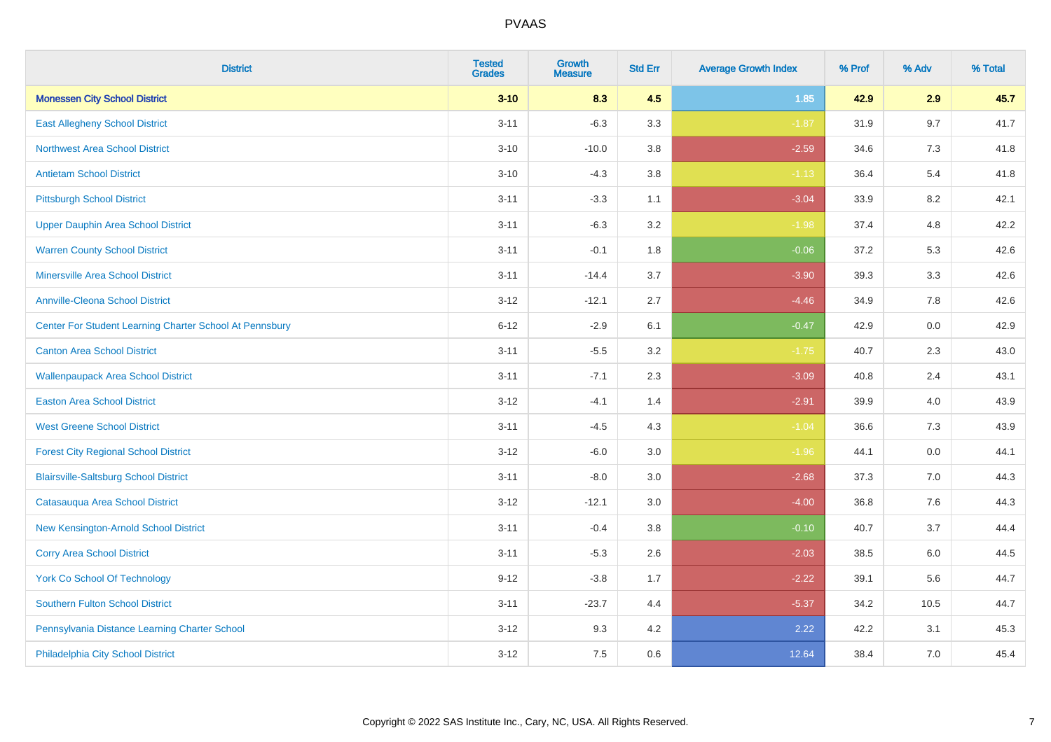| <b>District</b>                                         | <b>Tested</b><br><b>Grades</b> | <b>Growth</b><br><b>Measure</b> | <b>Std Err</b> | <b>Average Growth Index</b> | % Prof | % Adv | % Total |
|---------------------------------------------------------|--------------------------------|---------------------------------|----------------|-----------------------------|--------|-------|---------|
| <b>Monessen City School District</b>                    | $3 - 10$                       | 8.3                             | 4.5            | 1.85                        | 42.9   | 2.9   | 45.7    |
| <b>East Allegheny School District</b>                   | $3 - 11$                       | $-6.3$                          | 3.3            | $-1.87$                     | 31.9   | 9.7   | 41.7    |
| <b>Northwest Area School District</b>                   | $3 - 10$                       | $-10.0$                         | 3.8            | $-2.59$                     | 34.6   | 7.3   | 41.8    |
| <b>Antietam School District</b>                         | $3 - 10$                       | $-4.3$                          | 3.8            | $-1.13$                     | 36.4   | 5.4   | 41.8    |
| <b>Pittsburgh School District</b>                       | $3 - 11$                       | $-3.3$                          | 1.1            | $-3.04$                     | 33.9   | 8.2   | 42.1    |
| <b>Upper Dauphin Area School District</b>               | $3 - 11$                       | $-6.3$                          | 3.2            | $-1.98$                     | 37.4   | 4.8   | 42.2    |
| <b>Warren County School District</b>                    | $3 - 11$                       | $-0.1$                          | 1.8            | $-0.06$                     | 37.2   | 5.3   | 42.6    |
| <b>Minersville Area School District</b>                 | $3 - 11$                       | $-14.4$                         | 3.7            | $-3.90$                     | 39.3   | 3.3   | 42.6    |
| <b>Annville-Cleona School District</b>                  | $3 - 12$                       | $-12.1$                         | 2.7            | $-4.46$                     | 34.9   | 7.8   | 42.6    |
| Center For Student Learning Charter School At Pennsbury | $6 - 12$                       | $-2.9$                          | 6.1            | $-0.47$                     | 42.9   | 0.0   | 42.9    |
| <b>Canton Area School District</b>                      | $3 - 11$                       | $-5.5$                          | 3.2            | $-1.75$                     | 40.7   | 2.3   | 43.0    |
| <b>Wallenpaupack Area School District</b>               | $3 - 11$                       | $-7.1$                          | 2.3            | $-3.09$                     | 40.8   | 2.4   | 43.1    |
| <b>Easton Area School District</b>                      | $3 - 12$                       | $-4.1$                          | 1.4            | $-2.91$                     | 39.9   | 4.0   | 43.9    |
| <b>West Greene School District</b>                      | $3 - 11$                       | $-4.5$                          | 4.3            | $-1.04$                     | 36.6   | 7.3   | 43.9    |
| <b>Forest City Regional School District</b>             | $3 - 12$                       | $-6.0$                          | 3.0            | $-1.96$                     | 44.1   | 0.0   | 44.1    |
| <b>Blairsville-Saltsburg School District</b>            | $3 - 11$                       | $-8.0$                          | 3.0            | $-2.68$                     | 37.3   | 7.0   | 44.3    |
| Catasauqua Area School District                         | $3 - 12$                       | $-12.1$                         | 3.0            | $-4.00$                     | 36.8   | 7.6   | 44.3    |
| New Kensington-Arnold School District                   | $3 - 11$                       | $-0.4$                          | 3.8            | $-0.10$                     | 40.7   | 3.7   | 44.4    |
| <b>Corry Area School District</b>                       | $3 - 11$                       | $-5.3$                          | 2.6            | $-2.03$                     | 38.5   | 6.0   | 44.5    |
| <b>York Co School Of Technology</b>                     | $9 - 12$                       | $-3.8$                          | 1.7            | $-2.22$                     | 39.1   | 5.6   | 44.7    |
| Southern Fulton School District                         | $3 - 11$                       | $-23.7$                         | 4.4            | $-5.37$                     | 34.2   | 10.5  | 44.7    |
| Pennsylvania Distance Learning Charter School           | $3 - 12$                       | 9.3                             | 4.2            | 2.22                        | 42.2   | 3.1   | 45.3    |
| Philadelphia City School District                       | $3 - 12$                       | 7.5                             | 0.6            | 12.64                       | 38.4   | 7.0   | 45.4    |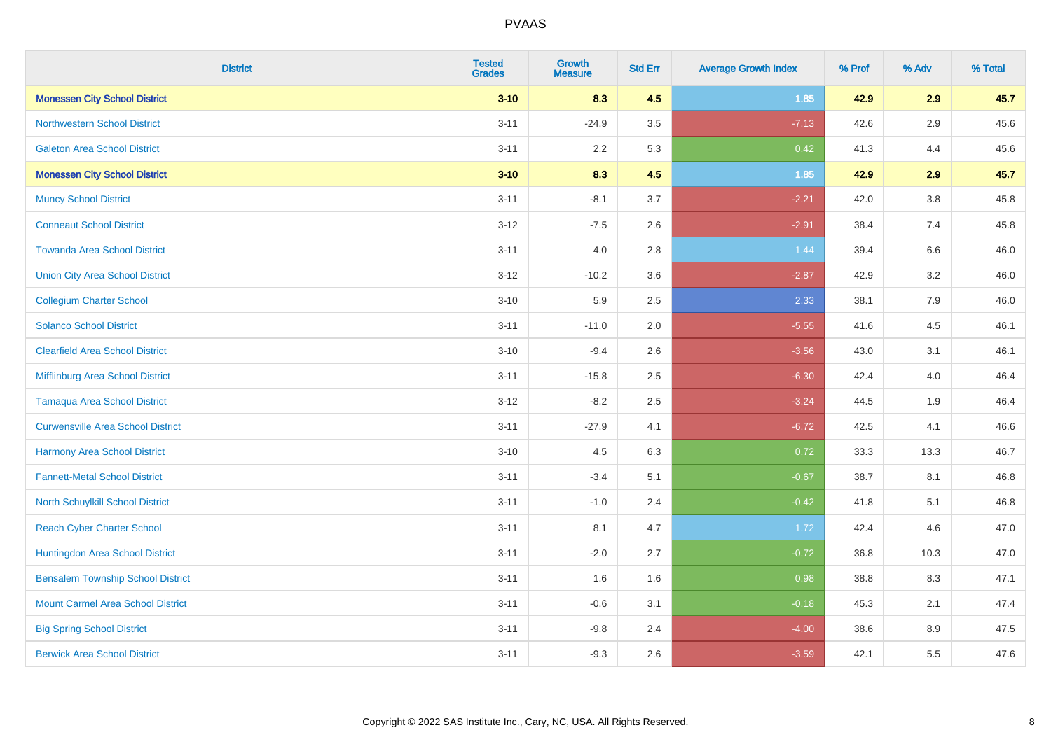| <b>District</b>                          | <b>Tested</b><br><b>Grades</b> | <b>Growth</b><br><b>Measure</b> | <b>Std Err</b> | <b>Average Growth Index</b> | % Prof | % Adv   | % Total |
|------------------------------------------|--------------------------------|---------------------------------|----------------|-----------------------------|--------|---------|---------|
| <b>Monessen City School District</b>     | $3 - 10$                       | 8.3                             | 4.5            | 1.85                        | 42.9   | 2.9     | 45.7    |
| <b>Northwestern School District</b>      | $3 - 11$                       | $-24.9$                         | 3.5            | $-7.13$                     | 42.6   | $2.9\,$ | 45.6    |
| <b>Galeton Area School District</b>      | $3 - 11$                       | 2.2                             | 5.3            | 0.42                        | 41.3   | 4.4     | 45.6    |
| <b>Monessen City School District</b>     | $3 - 10$                       | 8.3                             | 4.5            | 1.85                        | 42.9   | 2.9     | 45.7    |
| <b>Muncy School District</b>             | $3 - 11$                       | $-8.1$                          | 3.7            | $-2.21$                     | 42.0   | 3.8     | 45.8    |
| <b>Conneaut School District</b>          | $3 - 12$                       | $-7.5$                          | 2.6            | $-2.91$                     | 38.4   | 7.4     | 45.8    |
| <b>Towanda Area School District</b>      | $3 - 11$                       | 4.0                             | 2.8            | 1.44                        | 39.4   | 6.6     | 46.0    |
| <b>Union City Area School District</b>   | $3 - 12$                       | $-10.2$                         | 3.6            | $-2.87$                     | 42.9   | 3.2     | 46.0    |
| <b>Collegium Charter School</b>          | $3 - 10$                       | 5.9                             | 2.5            | 2.33                        | 38.1   | 7.9     | 46.0    |
| <b>Solanco School District</b>           | $3 - 11$                       | $-11.0$                         | 2.0            | $-5.55$                     | 41.6   | 4.5     | 46.1    |
| <b>Clearfield Area School District</b>   | $3 - 10$                       | $-9.4$                          | 2.6            | $-3.56$                     | 43.0   | 3.1     | 46.1    |
| Mifflinburg Area School District         | $3 - 11$                       | $-15.8$                         | 2.5            | $-6.30$                     | 42.4   | 4.0     | 46.4    |
| <b>Tamaqua Area School District</b>      | $3 - 12$                       | $-8.2$                          | 2.5            | $-3.24$                     | 44.5   | 1.9     | 46.4    |
| <b>Curwensville Area School District</b> | $3 - 11$                       | $-27.9$                         | 4.1            | $-6.72$                     | 42.5   | 4.1     | 46.6    |
| <b>Harmony Area School District</b>      | $3 - 10$                       | 4.5                             | 6.3            | 0.72                        | 33.3   | 13.3    | 46.7    |
| <b>Fannett-Metal School District</b>     | $3 - 11$                       | $-3.4$                          | 5.1            | $-0.67$                     | 38.7   | 8.1     | 46.8    |
| North Schuylkill School District         | $3 - 11$                       | $-1.0$                          | 2.4            | $-0.42$                     | 41.8   | 5.1     | 46.8    |
| <b>Reach Cyber Charter School</b>        | $3 - 11$                       | 8.1                             | 4.7            | 1.72                        | 42.4   | 4.6     | 47.0    |
| Huntingdon Area School District          | $3 - 11$                       | $-2.0$                          | 2.7            | $-0.72$                     | 36.8   | 10.3    | 47.0    |
| <b>Bensalem Township School District</b> | $3 - 11$                       | 1.6                             | 1.6            | 0.98                        | 38.8   | 8.3     | 47.1    |
| <b>Mount Carmel Area School District</b> | $3 - 11$                       | $-0.6$                          | 3.1            | $-0.18$                     | 45.3   | 2.1     | 47.4    |
| <b>Big Spring School District</b>        | $3 - 11$                       | $-9.8$                          | 2.4            | $-4.00$                     | 38.6   | 8.9     | 47.5    |
| <b>Berwick Area School District</b>      | $3 - 11$                       | $-9.3$                          | 2.6            | $-3.59$                     | 42.1   | 5.5     | 47.6    |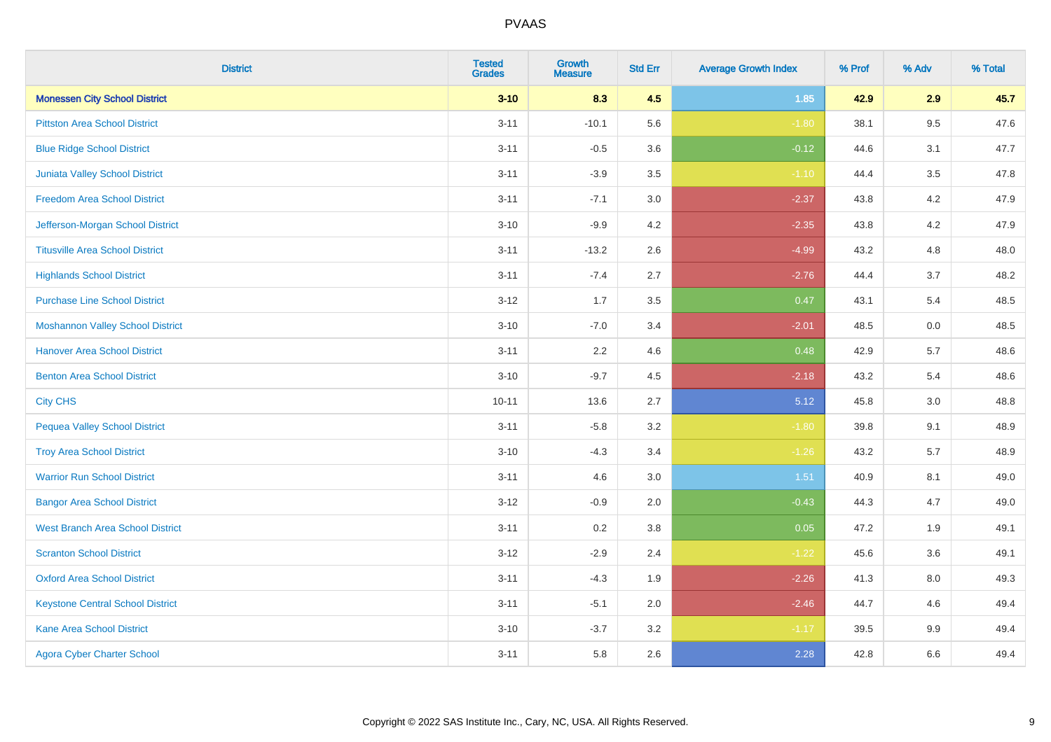| <b>District</b>                         | <b>Tested</b><br><b>Grades</b> | <b>Growth</b><br><b>Measure</b> | <b>Std Err</b> | <b>Average Growth Index</b> | % Prof | % Adv   | % Total |
|-----------------------------------------|--------------------------------|---------------------------------|----------------|-----------------------------|--------|---------|---------|
| <b>Monessen City School District</b>    | $3 - 10$                       | 8.3                             | 4.5            | 1.85                        | 42.9   | 2.9     | 45.7    |
| <b>Pittston Area School District</b>    | $3 - 11$                       | $-10.1$                         | 5.6            | $-1.80$                     | 38.1   | $9.5\,$ | 47.6    |
| <b>Blue Ridge School District</b>       | $3 - 11$                       | $-0.5$                          | 3.6            | $-0.12$                     | 44.6   | 3.1     | 47.7    |
| <b>Juniata Valley School District</b>   | $3 - 11$                       | $-3.9$                          | 3.5            | $-1.10$                     | 44.4   | 3.5     | 47.8    |
| <b>Freedom Area School District</b>     | $3 - 11$                       | $-7.1$                          | 3.0            | $-2.37$                     | 43.8   | 4.2     | 47.9    |
| Jefferson-Morgan School District        | $3 - 10$                       | $-9.9$                          | 4.2            | $-2.35$                     | 43.8   | 4.2     | 47.9    |
| <b>Titusville Area School District</b>  | $3 - 11$                       | $-13.2$                         | 2.6            | $-4.99$                     | 43.2   | 4.8     | 48.0    |
| <b>Highlands School District</b>        | $3 - 11$                       | $-7.4$                          | 2.7            | $-2.76$                     | 44.4   | 3.7     | 48.2    |
| <b>Purchase Line School District</b>    | $3 - 12$                       | 1.7                             | 3.5            | 0.47                        | 43.1   | 5.4     | 48.5    |
| <b>Moshannon Valley School District</b> | $3 - 10$                       | $-7.0$                          | 3.4            | $-2.01$                     | 48.5   | 0.0     | 48.5    |
| <b>Hanover Area School District</b>     | $3 - 11$                       | 2.2                             | 4.6            | 0.48                        | 42.9   | 5.7     | 48.6    |
| <b>Benton Area School District</b>      | $3 - 10$                       | $-9.7$                          | 4.5            | $-2.18$                     | 43.2   | 5.4     | 48.6    |
| <b>City CHS</b>                         | $10 - 11$                      | 13.6                            | 2.7            | 5.12                        | 45.8   | $3.0\,$ | 48.8    |
| <b>Pequea Valley School District</b>    | $3 - 11$                       | $-5.8$                          | 3.2            | $-1.80$                     | 39.8   | 9.1     | 48.9    |
| <b>Troy Area School District</b>        | $3 - 10$                       | $-4.3$                          | 3.4            | $-1.26$                     | 43.2   | 5.7     | 48.9    |
| <b>Warrior Run School District</b>      | $3 - 11$                       | 4.6                             | 3.0            | 1.51                        | 40.9   | 8.1     | 49.0    |
| <b>Bangor Area School District</b>      | $3 - 12$                       | $-0.9$                          | 2.0            | $-0.43$                     | 44.3   | 4.7     | 49.0    |
| <b>West Branch Area School District</b> | $3 - 11$                       | 0.2                             | 3.8            | 0.05                        | 47.2   | 1.9     | 49.1    |
| <b>Scranton School District</b>         | $3 - 12$                       | $-2.9$                          | 2.4            | $-1.22$                     | 45.6   | 3.6     | 49.1    |
| <b>Oxford Area School District</b>      | $3 - 11$                       | $-4.3$                          | 1.9            | $-2.26$                     | 41.3   | 8.0     | 49.3    |
| <b>Keystone Central School District</b> | $3 - 11$                       | $-5.1$                          | 2.0            | $-2.46$                     | 44.7   | 4.6     | 49.4    |
| <b>Kane Area School District</b>        | $3 - 10$                       | $-3.7$                          | 3.2            | $-1.17$                     | 39.5   | $9.9\,$ | 49.4    |
| <b>Agora Cyber Charter School</b>       | $3 - 11$                       | 5.8                             | 2.6            | 2.28                        | 42.8   | 6.6     | 49.4    |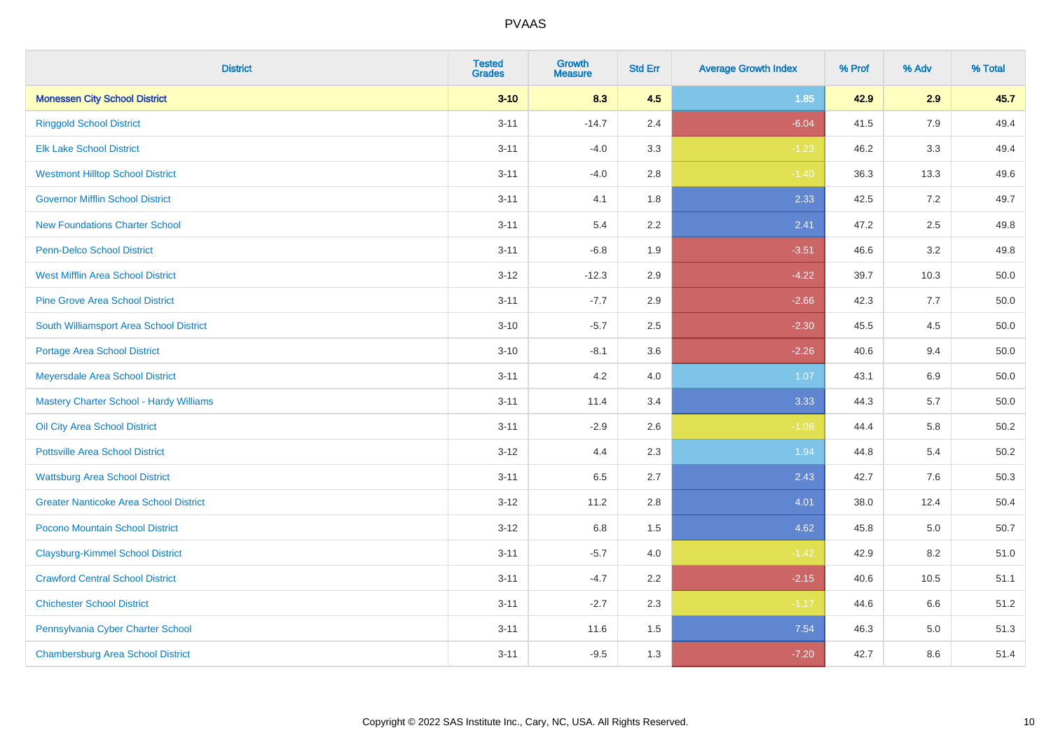| <b>District</b>                                | <b>Tested</b><br><b>Grades</b> | <b>Growth</b><br><b>Measure</b> | <b>Std Err</b> | <b>Average Growth Index</b> | % Prof | % Adv   | % Total  |
|------------------------------------------------|--------------------------------|---------------------------------|----------------|-----------------------------|--------|---------|----------|
| <b>Monessen City School District</b>           | $3 - 10$                       | 8.3                             | 4.5            | 1.85                        | 42.9   | 2.9     | 45.7     |
| <b>Ringgold School District</b>                | $3 - 11$                       | $-14.7$                         | 2.4            | $-6.04$                     | 41.5   | 7.9     | 49.4     |
| <b>Elk Lake School District</b>                | $3 - 11$                       | $-4.0$                          | 3.3            | $-1.23$                     | 46.2   | 3.3     | 49.4     |
| <b>Westmont Hilltop School District</b>        | $3 - 11$                       | $-4.0$                          | 2.8            | $-1.40$                     | 36.3   | 13.3    | 49.6     |
| <b>Governor Mifflin School District</b>        | $3 - 11$                       | 4.1                             | 1.8            | 2.33                        | 42.5   | 7.2     | 49.7     |
| <b>New Foundations Charter School</b>          | $3 - 11$                       | 5.4                             | 2.2            | 2.41                        | 47.2   | 2.5     | 49.8     |
| Penn-Delco School District                     | $3 - 11$                       | $-6.8$                          | 1.9            | $-3.51$                     | 46.6   | 3.2     | 49.8     |
| <b>West Mifflin Area School District</b>       | $3 - 12$                       | $-12.3$                         | 2.9            | $-4.22$                     | 39.7   | 10.3    | 50.0     |
| <b>Pine Grove Area School District</b>         | $3 - 11$                       | $-7.7$                          | 2.9            | $-2.66$                     | 42.3   | 7.7     | 50.0     |
| South Williamsport Area School District        | $3 - 10$                       | $-5.7$                          | 2.5            | $-2.30$                     | 45.5   | 4.5     | 50.0     |
| Portage Area School District                   | $3 - 10$                       | $-8.1$                          | 3.6            | $-2.26$                     | 40.6   | 9.4     | 50.0     |
| Meyersdale Area School District                | $3 - 11$                       | 4.2                             | 4.0            | 1.07                        | 43.1   | $6.9\,$ | 50.0     |
| <b>Mastery Charter School - Hardy Williams</b> | $3 - 11$                       | 11.4                            | 3.4            | 3.33                        | 44.3   | 5.7     | $50.0\,$ |
| Oil City Area School District                  | $3 - 11$                       | $-2.9$                          | 2.6            | $-1.08$                     | 44.4   | 5.8     | 50.2     |
| <b>Pottsville Area School District</b>         | $3 - 12$                       | 4.4                             | 2.3            | 1.94                        | 44.8   | 5.4     | 50.2     |
| <b>Wattsburg Area School District</b>          | $3 - 11$                       | 6.5                             | 2.7            | 2.43                        | 42.7   | 7.6     | 50.3     |
| <b>Greater Nanticoke Area School District</b>  | $3 - 12$                       | 11.2                            | 2.8            | 4.01                        | 38.0   | 12.4    | 50.4     |
| Pocono Mountain School District                | $3 - 12$                       | 6.8                             | 1.5            | 4.62                        | 45.8   | 5.0     | 50.7     |
| <b>Claysburg-Kimmel School District</b>        | $3 - 11$                       | $-5.7$                          | 4.0            | $-1.42$                     | 42.9   | 8.2     | 51.0     |
| <b>Crawford Central School District</b>        | $3 - 11$                       | $-4.7$                          | 2.2            | $-2.15$                     | 40.6   | 10.5    | 51.1     |
| <b>Chichester School District</b>              | $3 - 11$                       | $-2.7$                          | 2.3            | $-1.17$                     | 44.6   | 6.6     | 51.2     |
| Pennsylvania Cyber Charter School              | $3 - 11$                       | 11.6                            | 1.5            | 7.54                        | 46.3   | 5.0     | 51.3     |
| <b>Chambersburg Area School District</b>       | $3 - 11$                       | $-9.5$                          | 1.3            | $-7.20$                     | 42.7   | 8.6     | 51.4     |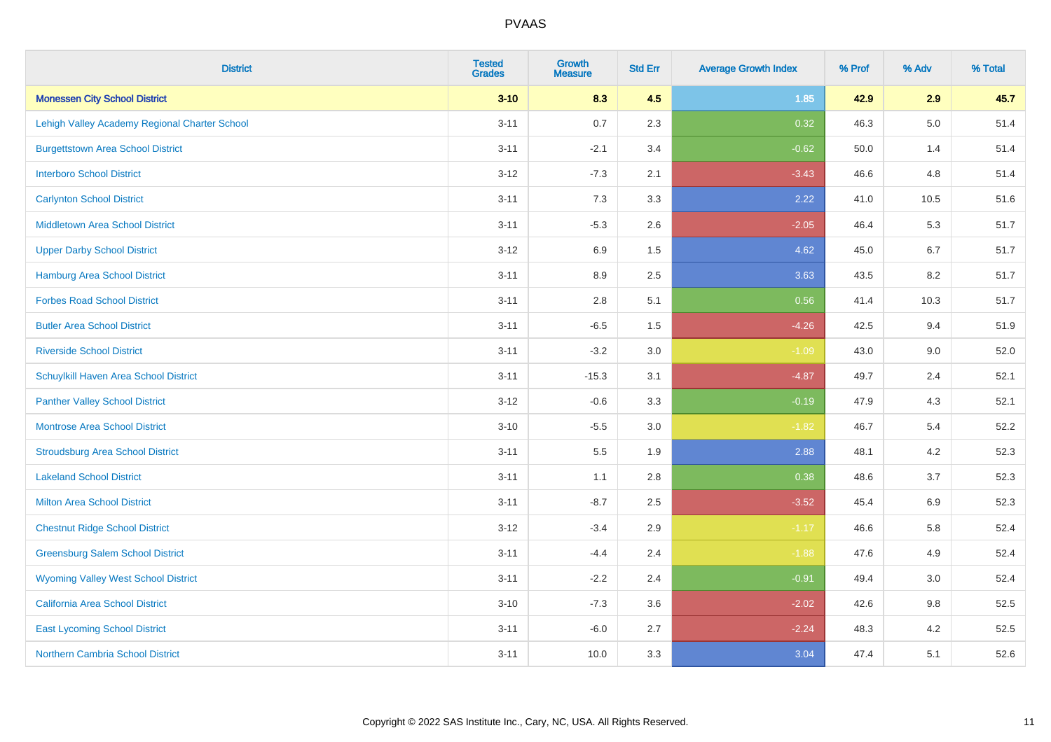| <b>District</b>                               | <b>Tested</b><br><b>Grades</b> | <b>Growth</b><br><b>Measure</b> | <b>Std Err</b> | <b>Average Growth Index</b> | % Prof | % Adv   | % Total |
|-----------------------------------------------|--------------------------------|---------------------------------|----------------|-----------------------------|--------|---------|---------|
| <b>Monessen City School District</b>          | $3 - 10$                       | 8.3                             | 4.5            | 1.85                        | 42.9   | 2.9     | 45.7    |
| Lehigh Valley Academy Regional Charter School | $3 - 11$                       | 0.7                             | 2.3            | 0.32                        | 46.3   | $5.0\,$ | 51.4    |
| <b>Burgettstown Area School District</b>      | $3 - 11$                       | $-2.1$                          | 3.4            | $-0.62$                     | 50.0   | 1.4     | 51.4    |
| <b>Interboro School District</b>              | $3 - 12$                       | $-7.3$                          | 2.1            | $-3.43$                     | 46.6   | 4.8     | 51.4    |
| <b>Carlynton School District</b>              | $3 - 11$                       | 7.3                             | 3.3            | 2.22                        | 41.0   | 10.5    | 51.6    |
| <b>Middletown Area School District</b>        | $3 - 11$                       | $-5.3$                          | 2.6            | $-2.05$                     | 46.4   | 5.3     | 51.7    |
| <b>Upper Darby School District</b>            | $3 - 12$                       | 6.9                             | 1.5            | 4.62                        | 45.0   | 6.7     | 51.7    |
| <b>Hamburg Area School District</b>           | $3 - 11$                       | 8.9                             | 2.5            | 3.63                        | 43.5   | 8.2     | 51.7    |
| <b>Forbes Road School District</b>            | $3 - 11$                       | $2.8\,$                         | 5.1            | 0.56                        | 41.4   | 10.3    | 51.7    |
| <b>Butler Area School District</b>            | $3 - 11$                       | $-6.5$                          | 1.5            | $-4.26$                     | 42.5   | 9.4     | 51.9    |
| <b>Riverside School District</b>              | $3 - 11$                       | $-3.2$                          | 3.0            | $-1.09$                     | 43.0   | 9.0     | 52.0    |
| Schuylkill Haven Area School District         | $3 - 11$                       | $-15.3$                         | 3.1            | $-4.87$                     | 49.7   | 2.4     | 52.1    |
| <b>Panther Valley School District</b>         | $3 - 12$                       | $-0.6$                          | 3.3            | $-0.19$                     | 47.9   | 4.3     | 52.1    |
| Montrose Area School District                 | $3 - 10$                       | $-5.5$                          | 3.0            | $-1.82$                     | 46.7   | 5.4     | 52.2    |
| <b>Stroudsburg Area School District</b>       | $3 - 11$                       | $5.5\,$                         | 1.9            | 2.88                        | 48.1   | 4.2     | 52.3    |
| <b>Lakeland School District</b>               | $3 - 11$                       | 1.1                             | 2.8            | 0.38                        | 48.6   | 3.7     | 52.3    |
| <b>Milton Area School District</b>            | $3 - 11$                       | $-8.7$                          | 2.5            | $-3.52$                     | 45.4   | 6.9     | 52.3    |
| <b>Chestnut Ridge School District</b>         | $3 - 12$                       | $-3.4$                          | 2.9            | $-1.17$                     | 46.6   | 5.8     | 52.4    |
| <b>Greensburg Salem School District</b>       | $3 - 11$                       | $-4.4$                          | 2.4            | $-1.88$                     | 47.6   | 4.9     | 52.4    |
| <b>Wyoming Valley West School District</b>    | $3 - 11$                       | $-2.2$                          | 2.4            | $-0.91$                     | 49.4   | 3.0     | 52.4    |
| <b>California Area School District</b>        | $3 - 10$                       | $-7.3$                          | 3.6            | $-2.02$                     | 42.6   | 9.8     | 52.5    |
| <b>East Lycoming School District</b>          | $3 - 11$                       | $-6.0$                          | 2.7            | $-2.24$                     | 48.3   | 4.2     | 52.5    |
| <b>Northern Cambria School District</b>       | $3 - 11$                       | 10.0                            | 3.3            | 3.04                        | 47.4   | 5.1     | 52.6    |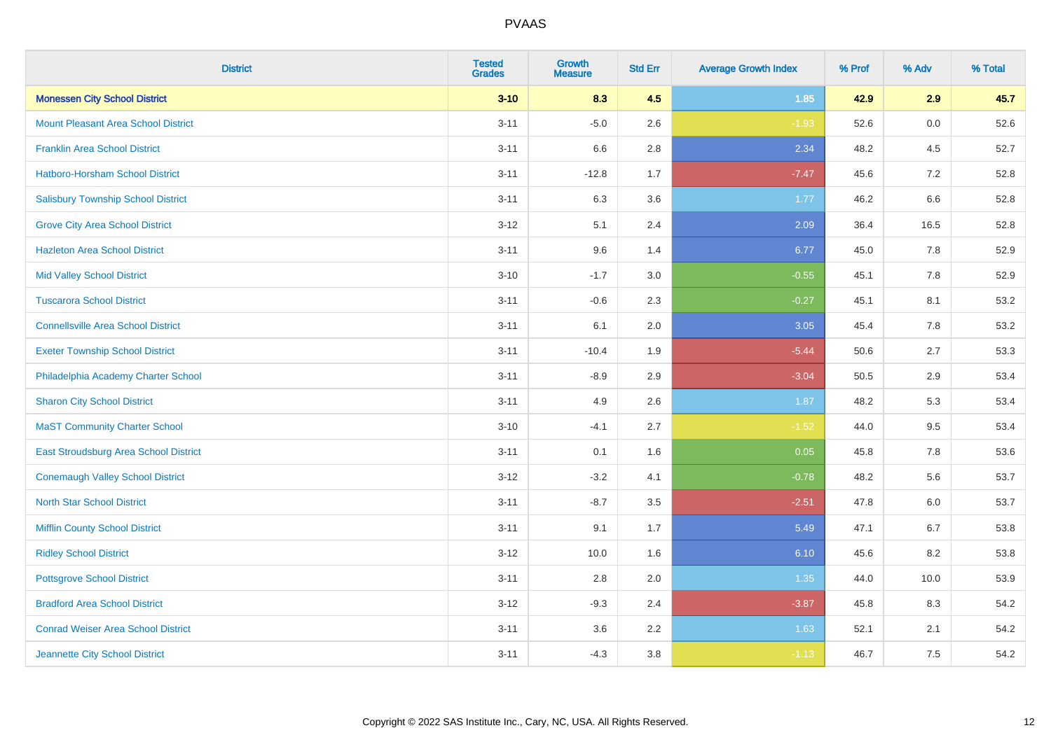| <b>District</b>                            | <b>Tested</b><br><b>Grades</b> | <b>Growth</b><br><b>Measure</b> | <b>Std Err</b> | <b>Average Growth Index</b> | % Prof | % Adv | % Total |
|--------------------------------------------|--------------------------------|---------------------------------|----------------|-----------------------------|--------|-------|---------|
| <b>Monessen City School District</b>       | $3 - 10$                       | 8.3                             | 4.5            | $1.85$                      | 42.9   | 2.9   | 45.7    |
| <b>Mount Pleasant Area School District</b> | $3 - 11$                       | $-5.0$                          | 2.6            | $-1.93$                     | 52.6   | 0.0   | 52.6    |
| <b>Franklin Area School District</b>       | $3 - 11$                       | 6.6                             | 2.8            | 2.34                        | 48.2   | 4.5   | 52.7    |
| Hatboro-Horsham School District            | $3 - 11$                       | $-12.8$                         | 1.7            | $-7.47$                     | 45.6   | 7.2   | 52.8    |
| <b>Salisbury Township School District</b>  | $3 - 11$                       | 6.3                             | 3.6            | 1.77                        | 46.2   | 6.6   | 52.8    |
| <b>Grove City Area School District</b>     | $3 - 12$                       | 5.1                             | 2.4            | 2.09                        | 36.4   | 16.5  | 52.8    |
| <b>Hazleton Area School District</b>       | $3 - 11$                       | 9.6                             | 1.4            | 6.77                        | 45.0   | 7.8   | 52.9    |
| <b>Mid Valley School District</b>          | $3 - 10$                       | $-1.7$                          | 3.0            | $-0.55$                     | 45.1   | 7.8   | 52.9    |
| <b>Tuscarora School District</b>           | $3 - 11$                       | $-0.6$                          | 2.3            | $-0.27$                     | 45.1   | 8.1   | 53.2    |
| <b>Connellsville Area School District</b>  | $3 - 11$                       | 6.1                             | 2.0            | 3.05                        | 45.4   | 7.8   | 53.2    |
| <b>Exeter Township School District</b>     | $3 - 11$                       | $-10.4$                         | 1.9            | $-5.44$                     | 50.6   | 2.7   | 53.3    |
| Philadelphia Academy Charter School        | $3 - 11$                       | $-8.9$                          | 2.9            | $-3.04$                     | 50.5   | 2.9   | 53.4    |
| <b>Sharon City School District</b>         | $3 - 11$                       | 4.9                             | 2.6            | 1.87                        | 48.2   | 5.3   | 53.4    |
| <b>MaST Community Charter School</b>       | $3 - 10$                       | $-4.1$                          | 2.7            | $-1.52$                     | 44.0   | 9.5   | 53.4    |
| East Stroudsburg Area School District      | $3 - 11$                       | 0.1                             | 1.6            | 0.05                        | 45.8   | 7.8   | 53.6    |
| <b>Conemaugh Valley School District</b>    | $3 - 12$                       | $-3.2$                          | 4.1            | $-0.78$                     | 48.2   | 5.6   | 53.7    |
| <b>North Star School District</b>          | $3 - 11$                       | $-8.7$                          | 3.5            | $-2.51$                     | 47.8   | 6.0   | 53.7    |
| Mifflin County School District             | $3 - 11$                       | 9.1                             | 1.7            | 5.49                        | 47.1   | 6.7   | 53.8    |
| <b>Ridley School District</b>              | $3 - 12$                       | 10.0                            | 1.6            | 6.10                        | 45.6   | 8.2   | 53.8    |
| <b>Pottsgrove School District</b>          | $3 - 11$                       | 2.8                             | 2.0            | 1.35                        | 44.0   | 10.0  | 53.9    |
| <b>Bradford Area School District</b>       | $3 - 12$                       | $-9.3$                          | 2.4            | $-3.87$                     | 45.8   | 8.3   | 54.2    |
| <b>Conrad Weiser Area School District</b>  | $3 - 11$                       | 3.6                             | 2.2            | 1.63                        | 52.1   | 2.1   | 54.2    |
| Jeannette City School District             | $3 - 11$                       | $-4.3$                          | 3.8            | $-1.13$                     | 46.7   | 7.5   | 54.2    |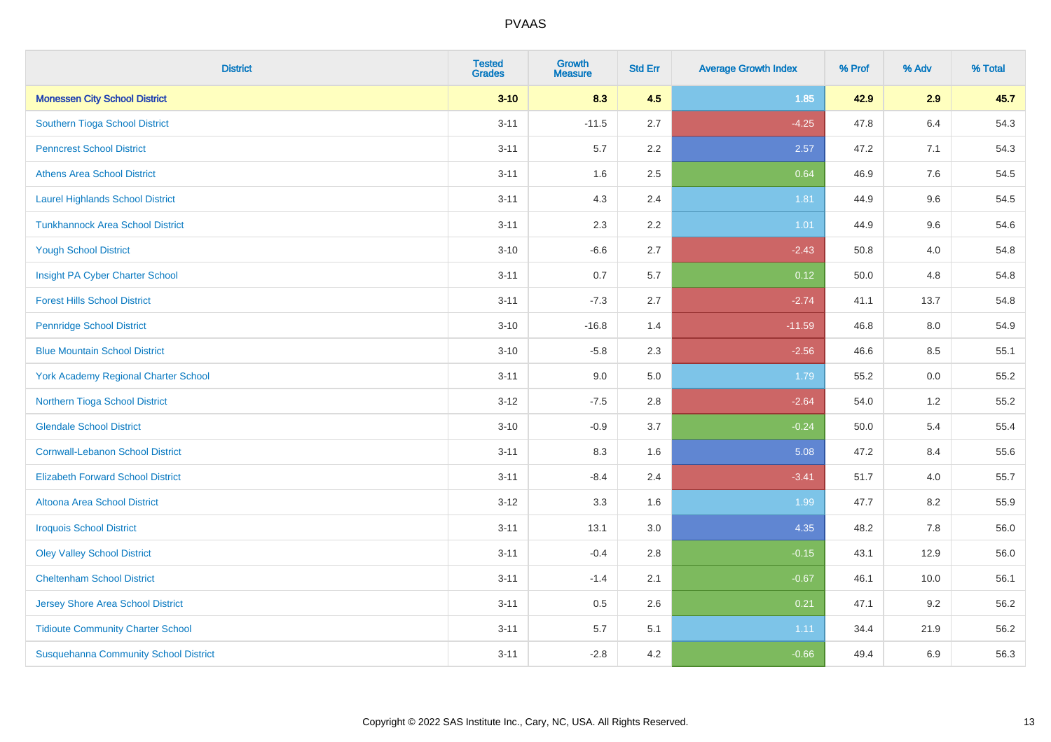| <b>District</b>                              | <b>Tested</b><br><b>Grades</b> | <b>Growth</b><br><b>Measure</b> | <b>Std Err</b> | <b>Average Growth Index</b> | % Prof | % Adv | % Total |
|----------------------------------------------|--------------------------------|---------------------------------|----------------|-----------------------------|--------|-------|---------|
| <b>Monessen City School District</b>         | $3 - 10$                       | 8.3                             | 4.5            | 1.85                        | 42.9   | 2.9   | 45.7    |
| Southern Tioga School District               | $3 - 11$                       | $-11.5$                         | 2.7            | $-4.25$                     | 47.8   | 6.4   | 54.3    |
| <b>Penncrest School District</b>             | $3 - 11$                       | 5.7                             | 2.2            | 2.57                        | 47.2   | 7.1   | 54.3    |
| <b>Athens Area School District</b>           | $3 - 11$                       | 1.6                             | 2.5            | 0.64                        | 46.9   | 7.6   | 54.5    |
| <b>Laurel Highlands School District</b>      | $3 - 11$                       | 4.3                             | 2.4            | 1.81                        | 44.9   | 9.6   | 54.5    |
| <b>Tunkhannock Area School District</b>      | $3 - 11$                       | 2.3                             | 2.2            | $1.01$                      | 44.9   | 9.6   | 54.6    |
| <b>Yough School District</b>                 | $3 - 10$                       | $-6.6$                          | 2.7            | $-2.43$                     | 50.8   | 4.0   | 54.8    |
| Insight PA Cyber Charter School              | $3 - 11$                       | 0.7                             | 5.7            | 0.12                        | 50.0   | 4.8   | 54.8    |
| <b>Forest Hills School District</b>          | $3 - 11$                       | $-7.3$                          | 2.7            | $-2.74$                     | 41.1   | 13.7  | 54.8    |
| <b>Pennridge School District</b>             | $3 - 10$                       | $-16.8$                         | 1.4            | $-11.59$                    | 46.8   | 8.0   | 54.9    |
| <b>Blue Mountain School District</b>         | $3 - 10$                       | $-5.8$                          | 2.3            | $-2.56$                     | 46.6   | 8.5   | 55.1    |
| <b>York Academy Regional Charter School</b>  | $3 - 11$                       | 9.0                             | 5.0            | 1.79                        | 55.2   | 0.0   | 55.2    |
| Northern Tioga School District               | $3 - 12$                       | $-7.5$                          | 2.8            | $-2.64$                     | 54.0   | 1.2   | 55.2    |
| <b>Glendale School District</b>              | $3 - 10$                       | $-0.9$                          | 3.7            | $-0.24$                     | 50.0   | 5.4   | 55.4    |
| <b>Cornwall-Lebanon School District</b>      | $3 - 11$                       | 8.3                             | 1.6            | 5.08                        | 47.2   | 8.4   | 55.6    |
| <b>Elizabeth Forward School District</b>     | $3 - 11$                       | $-8.4$                          | 2.4            | $-3.41$                     | 51.7   | 4.0   | 55.7    |
| <b>Altoona Area School District</b>          | $3 - 12$                       | 3.3                             | 1.6            | 1.99                        | 47.7   | 8.2   | 55.9    |
| <b>Iroquois School District</b>              | $3 - 11$                       | 13.1                            | 3.0            | 4.35                        | 48.2   | 7.8   | 56.0    |
| <b>Oley Valley School District</b>           | $3 - 11$                       | $-0.4$                          | 2.8            | $-0.15$                     | 43.1   | 12.9  | 56.0    |
| <b>Cheltenham School District</b>            | $3 - 11$                       | $-1.4$                          | 2.1            | $-0.67$                     | 46.1   | 10.0  | 56.1    |
| <b>Jersey Shore Area School District</b>     | $3 - 11$                       | 0.5                             | 2.6            | 0.21                        | 47.1   | 9.2   | 56.2    |
| <b>Tidioute Community Charter School</b>     | $3 - 11$                       | 5.7                             | 5.1            | 1.11                        | 34.4   | 21.9  | 56.2    |
| <b>Susquehanna Community School District</b> | $3 - 11$                       | $-2.8$                          | 4.2            | $-0.66$                     | 49.4   | 6.9   | 56.3    |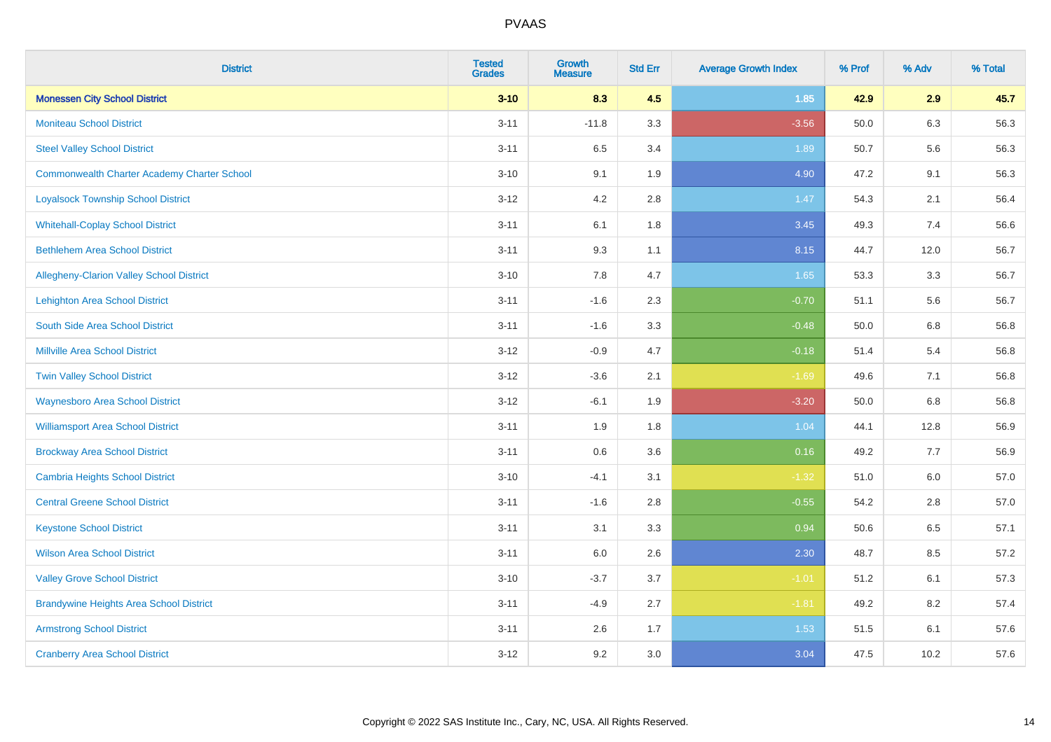| <b>District</b>                                    | <b>Tested</b><br><b>Grades</b> | <b>Growth</b><br><b>Measure</b> | <b>Std Err</b> | <b>Average Growth Index</b> | % Prof | % Adv | % Total |
|----------------------------------------------------|--------------------------------|---------------------------------|----------------|-----------------------------|--------|-------|---------|
| <b>Monessen City School District</b>               | $3 - 10$                       | 8.3                             | 4.5            | 1.85                        | 42.9   | 2.9   | 45.7    |
| <b>Moniteau School District</b>                    | $3 - 11$                       | $-11.8$                         | 3.3            | $-3.56$                     | 50.0   | 6.3   | 56.3    |
| <b>Steel Valley School District</b>                | $3 - 11$                       | 6.5                             | 3.4            | 1.89                        | 50.7   | 5.6   | 56.3    |
| <b>Commonwealth Charter Academy Charter School</b> | $3 - 10$                       | 9.1                             | 1.9            | 4.90                        | 47.2   | 9.1   | 56.3    |
| <b>Loyalsock Township School District</b>          | $3 - 12$                       | 4.2                             | 2.8            | 1.47                        | 54.3   | 2.1   | 56.4    |
| <b>Whitehall-Coplay School District</b>            | $3 - 11$                       | 6.1                             | 1.8            | 3.45                        | 49.3   | 7.4   | 56.6    |
| <b>Bethlehem Area School District</b>              | $3 - 11$                       | 9.3                             | 1.1            | 8.15                        | 44.7   | 12.0  | 56.7    |
| <b>Allegheny-Clarion Valley School District</b>    | $3 - 10$                       | 7.8                             | 4.7            | 1.65                        | 53.3   | 3.3   | 56.7    |
| <b>Lehighton Area School District</b>              | $3 - 11$                       | $-1.6$                          | 2.3            | $-0.70$                     | 51.1   | 5.6   | 56.7    |
| South Side Area School District                    | $3 - 11$                       | $-1.6$                          | 3.3            | $-0.48$                     | 50.0   | 6.8   | 56.8    |
| <b>Millville Area School District</b>              | $3 - 12$                       | $-0.9$                          | 4.7            | $-0.18$                     | 51.4   | 5.4   | 56.8    |
| <b>Twin Valley School District</b>                 | $3 - 12$                       | $-3.6$                          | 2.1            | $-1.69$                     | 49.6   | 7.1   | 56.8    |
| <b>Waynesboro Area School District</b>             | $3 - 12$                       | $-6.1$                          | 1.9            | $-3.20$                     | 50.0   | 6.8   | 56.8    |
| <b>Williamsport Area School District</b>           | $3 - 11$                       | 1.9                             | 1.8            | 1.04                        | 44.1   | 12.8  | 56.9    |
| <b>Brockway Area School District</b>               | $3 - 11$                       | 0.6                             | 3.6            | 0.16                        | 49.2   | 7.7   | 56.9    |
| Cambria Heights School District                    | $3 - 10$                       | $-4.1$                          | 3.1            | $-1.32$                     | 51.0   | 6.0   | 57.0    |
| <b>Central Greene School District</b>              | $3 - 11$                       | $-1.6$                          | 2.8            | $-0.55$                     | 54.2   | 2.8   | 57.0    |
| <b>Keystone School District</b>                    | $3 - 11$                       | 3.1                             | 3.3            | 0.94                        | 50.6   | 6.5   | 57.1    |
| <b>Wilson Area School District</b>                 | $3 - 11$                       | 6.0                             | 2.6            | 2.30                        | 48.7   | 8.5   | 57.2    |
| <b>Valley Grove School District</b>                | $3 - 10$                       | $-3.7$                          | 3.7            | $-1.01$                     | 51.2   | 6.1   | 57.3    |
| <b>Brandywine Heights Area School District</b>     | $3 - 11$                       | $-4.9$                          | 2.7            | $-1.81$                     | 49.2   | 8.2   | 57.4    |
| <b>Armstrong School District</b>                   | $3 - 11$                       | 2.6                             | 1.7            | 1.53                        | 51.5   | 6.1   | 57.6    |
| <b>Cranberry Area School District</b>              | $3 - 12$                       | 9.2                             | 3.0            | 3.04                        | 47.5   | 10.2  | 57.6    |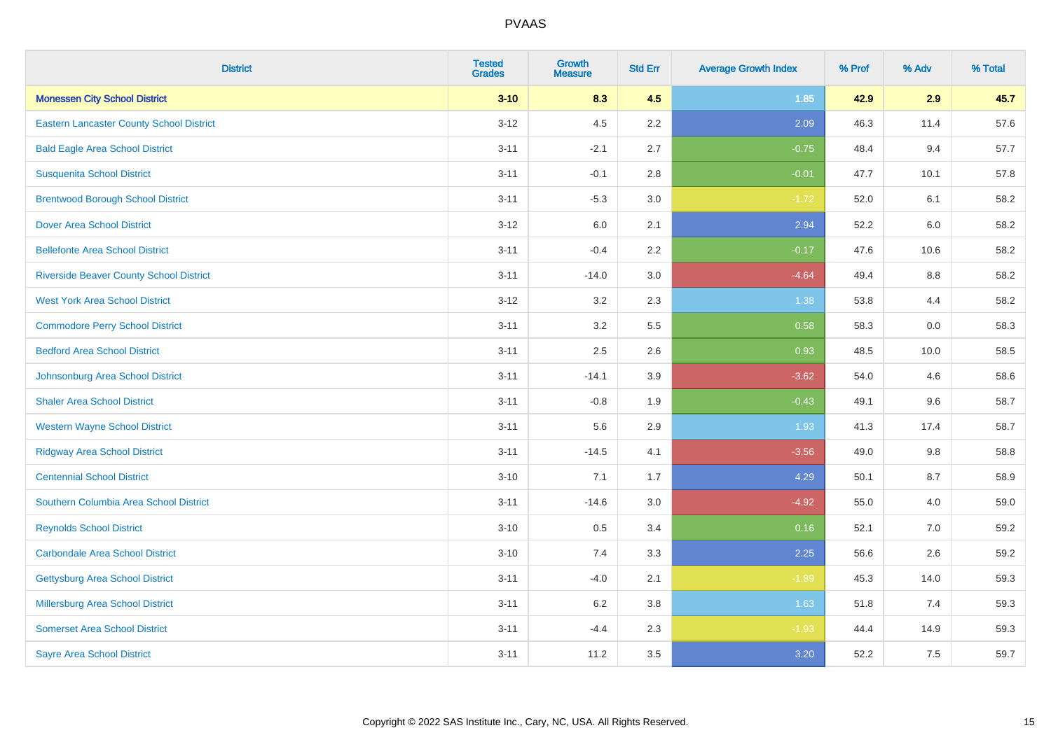| <b>District</b>                                 | <b>Tested</b><br><b>Grades</b> | <b>Growth</b><br><b>Measure</b> | <b>Std Err</b> | <b>Average Growth Index</b> | % Prof | % Adv | % Total |
|-------------------------------------------------|--------------------------------|---------------------------------|----------------|-----------------------------|--------|-------|---------|
| <b>Monessen City School District</b>            | $3 - 10$                       | 8.3                             | 4.5            | 1.85                        | 42.9   | 2.9   | 45.7    |
| <b>Eastern Lancaster County School District</b> | $3 - 12$                       | 4.5                             | 2.2            | 2.09                        | 46.3   | 11.4  | 57.6    |
| <b>Bald Eagle Area School District</b>          | $3 - 11$                       | $-2.1$                          | 2.7            | $-0.75$                     | 48.4   | 9.4   | 57.7    |
| <b>Susquenita School District</b>               | $3 - 11$                       | $-0.1$                          | 2.8            | $-0.01$                     | 47.7   | 10.1  | 57.8    |
| <b>Brentwood Borough School District</b>        | $3 - 11$                       | $-5.3$                          | 3.0            | $-1.72$                     | 52.0   | 6.1   | 58.2    |
| <b>Dover Area School District</b>               | $3 - 12$                       | $6.0\,$                         | 2.1            | 2.94                        | 52.2   | 6.0   | 58.2    |
| <b>Bellefonte Area School District</b>          | $3 - 11$                       | $-0.4$                          | 2.2            | $-0.17$                     | 47.6   | 10.6  | 58.2    |
| <b>Riverside Beaver County School District</b>  | $3 - 11$                       | $-14.0$                         | 3.0            | $-4.64$                     | 49.4   | 8.8   | 58.2    |
| <b>West York Area School District</b>           | $3 - 12$                       | 3.2                             | 2.3            | 1.38                        | 53.8   | 4.4   | 58.2    |
| <b>Commodore Perry School District</b>          | $3 - 11$                       | 3.2                             | 5.5            | 0.58                        | 58.3   | 0.0   | 58.3    |
| <b>Bedford Area School District</b>             | $3 - 11$                       | 2.5                             | 2.6            | 0.93                        | 48.5   | 10.0  | 58.5    |
| Johnsonburg Area School District                | $3 - 11$                       | $-14.1$                         | 3.9            | $-3.62$                     | 54.0   | 4.6   | 58.6    |
| <b>Shaler Area School District</b>              | $3 - 11$                       | $-0.8$                          | 1.9            | $-0.43$                     | 49.1   | 9.6   | 58.7    |
| <b>Western Wayne School District</b>            | $3 - 11$                       | 5.6                             | 2.9            | 1.93                        | 41.3   | 17.4  | 58.7    |
| <b>Ridgway Area School District</b>             | $3 - 11$                       | $-14.5$                         | 4.1            | $-3.56$                     | 49.0   | 9.8   | 58.8    |
| <b>Centennial School District</b>               | $3 - 10$                       | 7.1                             | 1.7            | 4.29                        | 50.1   | 8.7   | 58.9    |
| Southern Columbia Area School District          | $3 - 11$                       | $-14.6$                         | 3.0            | $-4.92$                     | 55.0   | 4.0   | 59.0    |
| <b>Reynolds School District</b>                 | $3 - 10$                       | 0.5                             | 3.4            | 0.16                        | 52.1   | 7.0   | 59.2    |
| <b>Carbondale Area School District</b>          | $3 - 10$                       | 7.4                             | 3.3            | 2.25                        | 56.6   | 2.6   | 59.2    |
| <b>Gettysburg Area School District</b>          | $3 - 11$                       | $-4.0$                          | 2.1            | $-1.89$                     | 45.3   | 14.0  | 59.3    |
| Millersburg Area School District                | $3 - 11$                       | 6.2                             | 3.8            | 1.63                        | 51.8   | 7.4   | 59.3    |
| <b>Somerset Area School District</b>            | $3 - 11$                       | $-4.4$                          | 2.3            | $-1.93$                     | 44.4   | 14.9  | 59.3    |
| <b>Sayre Area School District</b>               | $3 - 11$                       | 11.2                            | 3.5            | 3.20                        | 52.2   | 7.5   | 59.7    |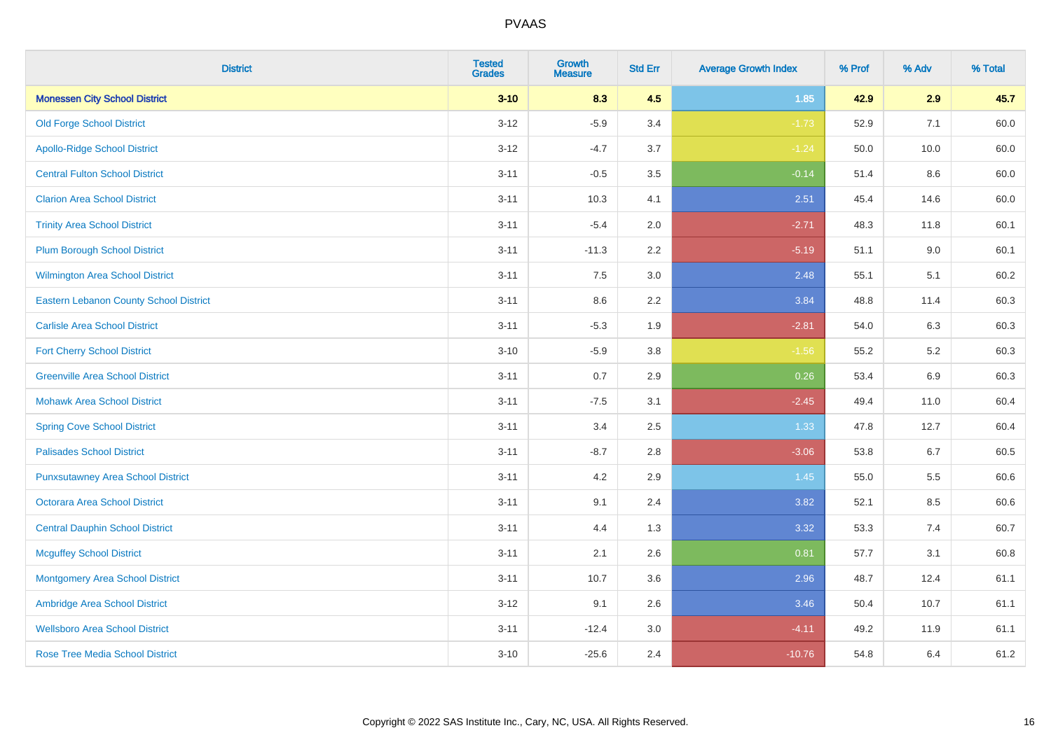| <b>District</b>                          | <b>Tested</b><br><b>Grades</b> | <b>Growth</b><br><b>Measure</b> | <b>Std Err</b> | <b>Average Growth Index</b> | % Prof | % Adv   | % Total |
|------------------------------------------|--------------------------------|---------------------------------|----------------|-----------------------------|--------|---------|---------|
| <b>Monessen City School District</b>     | $3 - 10$                       | 8.3                             | 4.5            | 1.85                        | 42.9   | 2.9     | 45.7    |
| <b>Old Forge School District</b>         | $3 - 12$                       | $-5.9$                          | 3.4            | $-1.73$                     | 52.9   | 7.1     | 60.0    |
| <b>Apollo-Ridge School District</b>      | $3 - 12$                       | $-4.7$                          | 3.7            | $-1.24$                     | 50.0   | 10.0    | 60.0    |
| <b>Central Fulton School District</b>    | $3 - 11$                       | $-0.5$                          | 3.5            | $-0.14$                     | 51.4   | 8.6     | 60.0    |
| <b>Clarion Area School District</b>      | $3 - 11$                       | 10.3                            | 4.1            | 2.51                        | 45.4   | 14.6    | 60.0    |
| <b>Trinity Area School District</b>      | $3 - 11$                       | $-5.4$                          | 2.0            | $-2.71$                     | 48.3   | 11.8    | 60.1    |
| <b>Plum Borough School District</b>      | $3 - 11$                       | $-11.3$                         | 2.2            | $-5.19$                     | 51.1   | 9.0     | 60.1    |
| <b>Wilmington Area School District</b>   | $3 - 11$                       | 7.5                             | $3.0\,$        | 2.48                        | 55.1   | 5.1     | 60.2    |
| Eastern Lebanon County School District   | $3 - 11$                       | 8.6                             | 2.2            | 3.84                        | 48.8   | 11.4    | 60.3    |
| <b>Carlisle Area School District</b>     | $3 - 11$                       | $-5.3$                          | 1.9            | $-2.81$                     | 54.0   | 6.3     | 60.3    |
| <b>Fort Cherry School District</b>       | $3 - 10$                       | $-5.9$                          | 3.8            | $-1.56$                     | 55.2   | 5.2     | 60.3    |
| <b>Greenville Area School District</b>   | $3 - 11$                       | 0.7                             | 2.9            | 0.26                        | 53.4   | 6.9     | 60.3    |
| <b>Mohawk Area School District</b>       | $3 - 11$                       | $-7.5$                          | 3.1            | $-2.45$                     | 49.4   | 11.0    | 60.4    |
| <b>Spring Cove School District</b>       | $3 - 11$                       | 3.4                             | 2.5            | 1.33                        | 47.8   | 12.7    | 60.4    |
| <b>Palisades School District</b>         | $3 - 11$                       | $-8.7$                          | 2.8            | $-3.06$                     | 53.8   | 6.7     | 60.5    |
| <b>Punxsutawney Area School District</b> | $3 - 11$                       | 4.2                             | 2.9            | 1.45                        | 55.0   | $5.5\,$ | 60.6    |
| <b>Octorara Area School District</b>     | $3 - 11$                       | 9.1                             | 2.4            | 3.82                        | 52.1   | 8.5     | 60.6    |
| <b>Central Dauphin School District</b>   | $3 - 11$                       | 4.4                             | 1.3            | 3.32                        | 53.3   | 7.4     | 60.7    |
| <b>Mcguffey School District</b>          | $3 - 11$                       | 2.1                             | 2.6            | 0.81                        | 57.7   | 3.1     | 60.8    |
| <b>Montgomery Area School District</b>   | $3 - 11$                       | 10.7                            | 3.6            | 2.96                        | 48.7   | 12.4    | 61.1    |
| Ambridge Area School District            | $3-12$                         | 9.1                             | 2.6            | 3.46                        | 50.4   | 10.7    | 61.1    |
| <b>Wellsboro Area School District</b>    | $3 - 11$                       | $-12.4$                         | 3.0            | $-4.11$                     | 49.2   | 11.9    | 61.1    |
| <b>Rose Tree Media School District</b>   | $3 - 10$                       | $-25.6$                         | 2.4            | $-10.76$                    | 54.8   | 6.4     | 61.2    |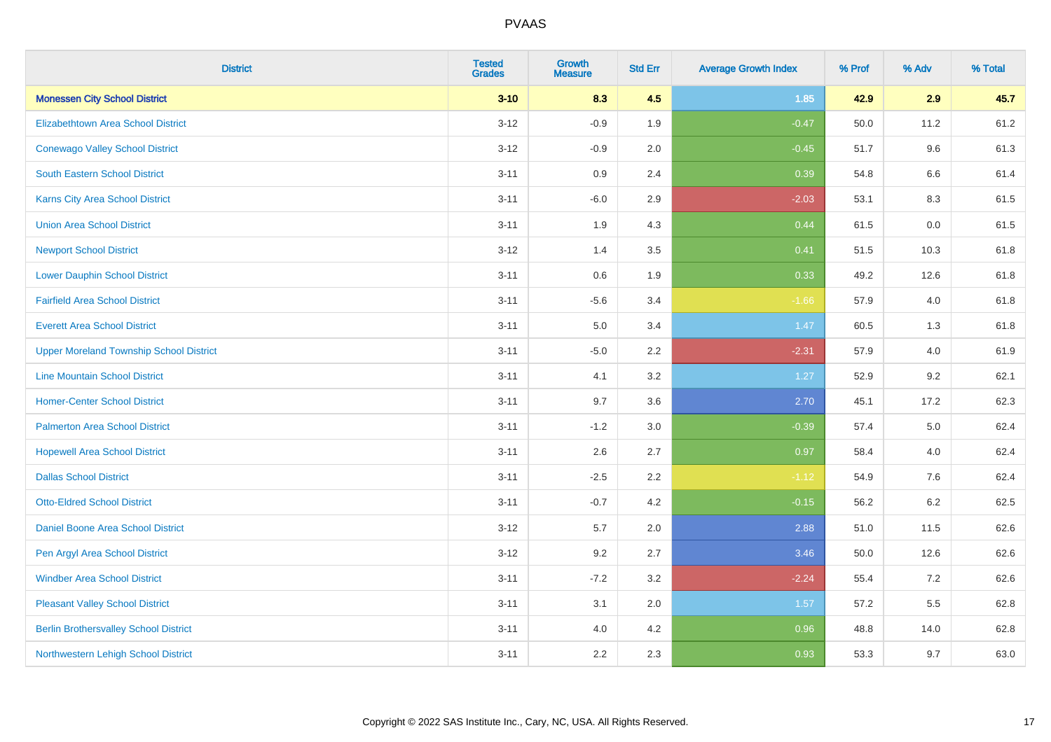| <b>District</b>                                | <b>Tested</b><br><b>Grades</b> | <b>Growth</b><br><b>Measure</b> | <b>Std Err</b> | <b>Average Growth Index</b> | % Prof | % Adv   | % Total |
|------------------------------------------------|--------------------------------|---------------------------------|----------------|-----------------------------|--------|---------|---------|
| <b>Monessen City School District</b>           | $3 - 10$                       | 8.3                             | 4.5            | 1.85                        | 42.9   | 2.9     | 45.7    |
| <b>Elizabethtown Area School District</b>      | $3 - 12$                       | $-0.9$                          | 1.9            | $-0.47$                     | 50.0   | 11.2    | 61.2    |
| <b>Conewago Valley School District</b>         | $3 - 12$                       | $-0.9$                          | 2.0            | $-0.45$                     | 51.7   | 9.6     | 61.3    |
| South Eastern School District                  | $3 - 11$                       | 0.9                             | 2.4            | 0.39                        | 54.8   | 6.6     | 61.4    |
| <b>Karns City Area School District</b>         | $3 - 11$                       | $-6.0$                          | 2.9            | $-2.03$                     | 53.1   | 8.3     | 61.5    |
| <b>Union Area School District</b>              | $3 - 11$                       | 1.9                             | 4.3            | 0.44                        | 61.5   | 0.0     | 61.5    |
| <b>Newport School District</b>                 | $3 - 12$                       | 1.4                             | 3.5            | 0.41                        | 51.5   | 10.3    | 61.8    |
| <b>Lower Dauphin School District</b>           | $3 - 11$                       | $0.6\,$                         | 1.9            | 0.33                        | 49.2   | 12.6    | 61.8    |
| <b>Fairfield Area School District</b>          | $3 - 11$                       | $-5.6$                          | 3.4            | $-1.66$                     | 57.9   | 4.0     | 61.8    |
| <b>Everett Area School District</b>            | $3 - 11$                       | 5.0                             | 3.4            | 1.47                        | 60.5   | 1.3     | 61.8    |
| <b>Upper Moreland Township School District</b> | $3 - 11$                       | $-5.0$                          | 2.2            | $-2.31$                     | 57.9   | 4.0     | 61.9    |
| <b>Line Mountain School District</b>           | $3 - 11$                       | 4.1                             | 3.2            | 1.27                        | 52.9   | 9.2     | 62.1    |
| <b>Homer-Center School District</b>            | $3 - 11$                       | 9.7                             | 3.6            | 2.70                        | 45.1   | 17.2    | 62.3    |
| <b>Palmerton Area School District</b>          | $3 - 11$                       | $-1.2$                          | 3.0            | $-0.39$                     | 57.4   | 5.0     | 62.4    |
| <b>Hopewell Area School District</b>           | $3 - 11$                       | 2.6                             | 2.7            | 0.97                        | 58.4   | 4.0     | 62.4    |
| <b>Dallas School District</b>                  | $3 - 11$                       | $-2.5$                          | 2.2            | $-1.12$                     | 54.9   | 7.6     | 62.4    |
| <b>Otto-Eldred School District</b>             | $3 - 11$                       | $-0.7$                          | 4.2            | $-0.15$                     | 56.2   | $6.2\,$ | 62.5    |
| <b>Daniel Boone Area School District</b>       | $3 - 12$                       | 5.7                             | 2.0            | 2.88                        | 51.0   | 11.5    | 62.6    |
| Pen Argyl Area School District                 | $3-12$                         | 9.2                             | 2.7            | 3.46                        | 50.0   | 12.6    | 62.6    |
| <b>Windber Area School District</b>            | $3 - 11$                       | $-7.2$                          | 3.2            | $-2.24$                     | 55.4   | 7.2     | 62.6    |
| <b>Pleasant Valley School District</b>         | $3 - 11$                       | 3.1                             | 2.0            | 1.57                        | 57.2   | 5.5     | 62.8    |
| <b>Berlin Brothersvalley School District</b>   | $3 - 11$                       | 4.0                             | 4.2            | 0.96                        | 48.8   | 14.0    | 62.8    |
| Northwestern Lehigh School District            | $3 - 11$                       | 2.2                             | 2.3            | 0.93                        | 53.3   | 9.7     | 63.0    |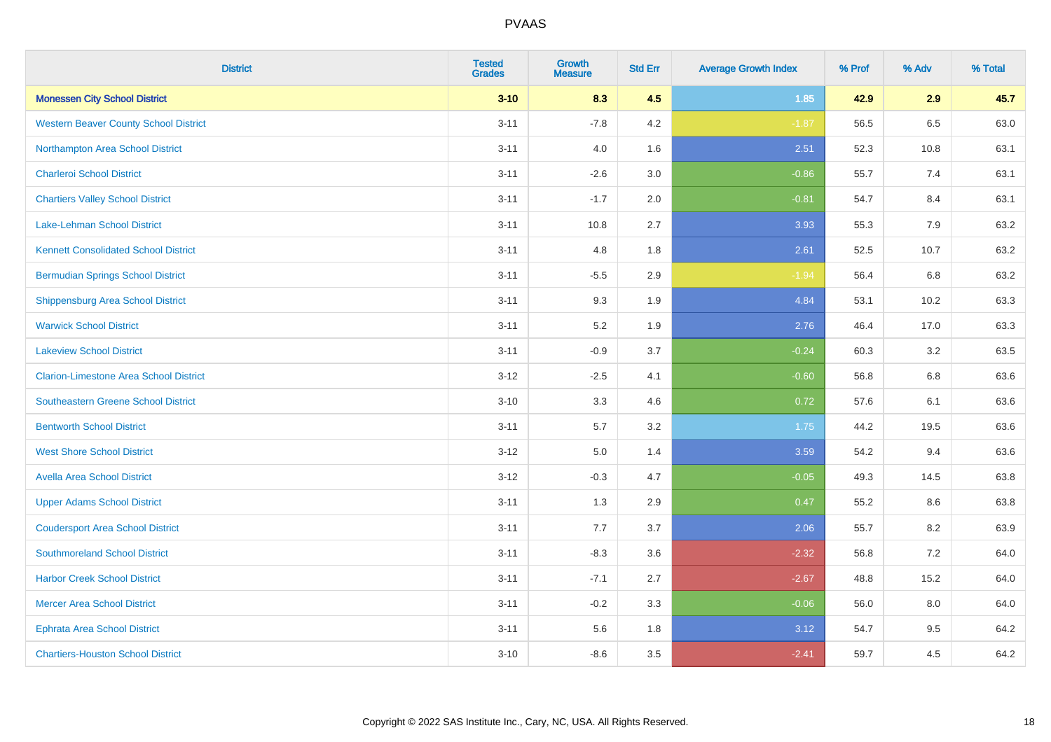| <b>District</b>                               | <b>Tested</b><br><b>Grades</b> | <b>Growth</b><br><b>Measure</b> | <b>Std Err</b> | <b>Average Growth Index</b> | % Prof | % Adv | % Total |
|-----------------------------------------------|--------------------------------|---------------------------------|----------------|-----------------------------|--------|-------|---------|
| <b>Monessen City School District</b>          | $3 - 10$                       | 8.3                             | 4.5            | $1.85$                      | 42.9   | 2.9   | 45.7    |
| <b>Western Beaver County School District</b>  | $3 - 11$                       | $-7.8$                          | 4.2            | $-1.87$                     | 56.5   | 6.5   | 63.0    |
| Northampton Area School District              | $3 - 11$                       | 4.0                             | 1.6            | 2.51                        | 52.3   | 10.8  | 63.1    |
| <b>Charleroi School District</b>              | $3 - 11$                       | $-2.6$                          | 3.0            | $-0.86$                     | 55.7   | 7.4   | 63.1    |
| <b>Chartiers Valley School District</b>       | $3 - 11$                       | $-1.7$                          | 2.0            | $-0.81$                     | 54.7   | 8.4   | 63.1    |
| <b>Lake-Lehman School District</b>            | $3 - 11$                       | 10.8                            | 2.7            | 3.93                        | 55.3   | 7.9   | 63.2    |
| <b>Kennett Consolidated School District</b>   | $3 - 11$                       | 4.8                             | 1.8            | 2.61                        | 52.5   | 10.7  | 63.2    |
| <b>Bermudian Springs School District</b>      | $3 - 11$                       | $-5.5$                          | 2.9            | $-1.94$                     | 56.4   | 6.8   | 63.2    |
| <b>Shippensburg Area School District</b>      | $3 - 11$                       | 9.3                             | 1.9            | 4.84                        | 53.1   | 10.2  | 63.3    |
| <b>Warwick School District</b>                | $3 - 11$                       | 5.2                             | 1.9            | 2.76                        | 46.4   | 17.0  | 63.3    |
| <b>Lakeview School District</b>               | $3 - 11$                       | $-0.9$                          | 3.7            | $-0.24$                     | 60.3   | 3.2   | 63.5    |
| <b>Clarion-Limestone Area School District</b> | $3 - 12$                       | $-2.5$                          | 4.1            | $-0.60$                     | 56.8   | 6.8   | 63.6    |
| Southeastern Greene School District           | $3 - 10$                       | 3.3                             | 4.6            | 0.72                        | 57.6   | 6.1   | 63.6    |
| <b>Bentworth School District</b>              | $3 - 11$                       | 5.7                             | 3.2            | 1.75                        | 44.2   | 19.5  | 63.6    |
| <b>West Shore School District</b>             | $3 - 12$                       | 5.0                             | 1.4            | 3.59                        | 54.2   | 9.4   | 63.6    |
| <b>Avella Area School District</b>            | $3 - 12$                       | $-0.3$                          | 4.7            | $-0.05$                     | 49.3   | 14.5  | 63.8    |
| <b>Upper Adams School District</b>            | $3 - 11$                       | 1.3                             | 2.9            | 0.47                        | 55.2   | 8.6   | 63.8    |
| <b>Coudersport Area School District</b>       | $3 - 11$                       | 7.7                             | 3.7            | 2.06                        | 55.7   | 8.2   | 63.9    |
| <b>Southmoreland School District</b>          | $3 - 11$                       | $-8.3$                          | 3.6            | $-2.32$                     | 56.8   | 7.2   | 64.0    |
| <b>Harbor Creek School District</b>           | $3 - 11$                       | $-7.1$                          | 2.7            | $-2.67$                     | 48.8   | 15.2  | 64.0    |
| <b>Mercer Area School District</b>            | $3 - 11$                       | $-0.2$                          | 3.3            | $-0.06$                     | 56.0   | 8.0   | 64.0    |
| <b>Ephrata Area School District</b>           | $3 - 11$                       | 5.6                             | 1.8            | 3.12                        | 54.7   | 9.5   | 64.2    |
| <b>Chartiers-Houston School District</b>      | $3 - 10$                       | $-8.6$                          | 3.5            | $-2.41$                     | 59.7   | 4.5   | 64.2    |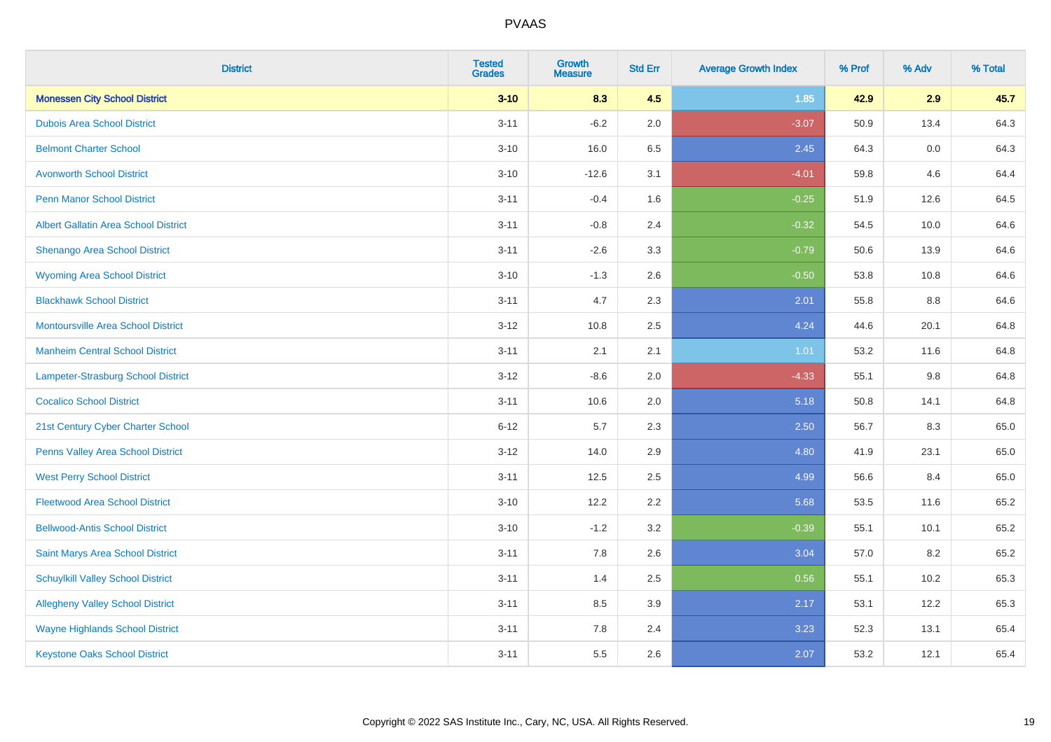| <b>District</b>                             | <b>Tested</b><br><b>Grades</b> | <b>Growth</b><br><b>Measure</b> | <b>Std Err</b> | <b>Average Growth Index</b> | % Prof | % Adv | % Total |
|---------------------------------------------|--------------------------------|---------------------------------|----------------|-----------------------------|--------|-------|---------|
| <b>Monessen City School District</b>        | $3 - 10$                       | 8.3                             | 4.5            | 1.85                        | 42.9   | 2.9   | 45.7    |
| <b>Dubois Area School District</b>          | $3 - 11$                       | $-6.2$                          | 2.0            | $-3.07$                     | 50.9   | 13.4  | 64.3    |
| <b>Belmont Charter School</b>               | $3 - 10$                       | 16.0                            | 6.5            | 2.45                        | 64.3   | 0.0   | 64.3    |
| <b>Avonworth School District</b>            | $3 - 10$                       | $-12.6$                         | 3.1            | $-4.01$                     | 59.8   | 4.6   | 64.4    |
| Penn Manor School District                  | $3 - 11$                       | $-0.4$                          | 1.6            | $-0.25$                     | 51.9   | 12.6  | 64.5    |
| <b>Albert Gallatin Area School District</b> | $3 - 11$                       | $-0.8$                          | 2.4            | $-0.32$                     | 54.5   | 10.0  | 64.6    |
| Shenango Area School District               | $3 - 11$                       | $-2.6$                          | 3.3            | $-0.79$                     | 50.6   | 13.9  | 64.6    |
| <b>Wyoming Area School District</b>         | $3 - 10$                       | $-1.3$                          | 2.6            | $-0.50$                     | 53.8   | 10.8  | 64.6    |
| <b>Blackhawk School District</b>            | $3 - 11$                       | 4.7                             | 2.3            | 2.01                        | 55.8   | 8.8   | 64.6    |
| <b>Montoursville Area School District</b>   | $3 - 12$                       | 10.8                            | 2.5            | 4.24                        | 44.6   | 20.1  | 64.8    |
| <b>Manheim Central School District</b>      | $3 - 11$                       | 2.1                             | 2.1            | 1.01                        | 53.2   | 11.6  | 64.8    |
| Lampeter-Strasburg School District          | $3 - 12$                       | $-8.6$                          | 2.0            | $-4.33$                     | 55.1   | 9.8   | 64.8    |
| <b>Cocalico School District</b>             | $3 - 11$                       | 10.6                            | 2.0            | 5.18                        | 50.8   | 14.1  | 64.8    |
| 21st Century Cyber Charter School           | $6 - 12$                       | 5.7                             | 2.3            | 2.50                        | 56.7   | 8.3   | 65.0    |
| Penns Valley Area School District           | $3 - 12$                       | 14.0                            | 2.9            | 4.80                        | 41.9   | 23.1  | 65.0    |
| <b>West Perry School District</b>           | $3 - 11$                       | 12.5                            | 2.5            | 4.99                        | 56.6   | 8.4   | 65.0    |
| <b>Fleetwood Area School District</b>       | $3 - 10$                       | 12.2                            | 2.2            | 5.68                        | 53.5   | 11.6  | 65.2    |
| <b>Bellwood-Antis School District</b>       | $3 - 10$                       | $-1.2$                          | 3.2            | $-0.39$                     | 55.1   | 10.1  | 65.2    |
| Saint Marys Area School District            | $3 - 11$                       | 7.8                             | 2.6            | 3.04                        | 57.0   | 8.2   | 65.2    |
| <b>Schuylkill Valley School District</b>    | $3 - 11$                       | 1.4                             | 2.5            | 0.56                        | 55.1   | 10.2  | 65.3    |
| <b>Allegheny Valley School District</b>     | $3 - 11$                       | 8.5                             | 3.9            | 2.17                        | 53.1   | 12.2  | 65.3    |
| <b>Wayne Highlands School District</b>      | $3 - 11$                       | 7.8                             | 2.4            | 3.23                        | 52.3   | 13.1  | 65.4    |
| <b>Keystone Oaks School District</b>        | $3 - 11$                       | 5.5                             | 2.6            | 2.07                        | 53.2   | 12.1  | 65.4    |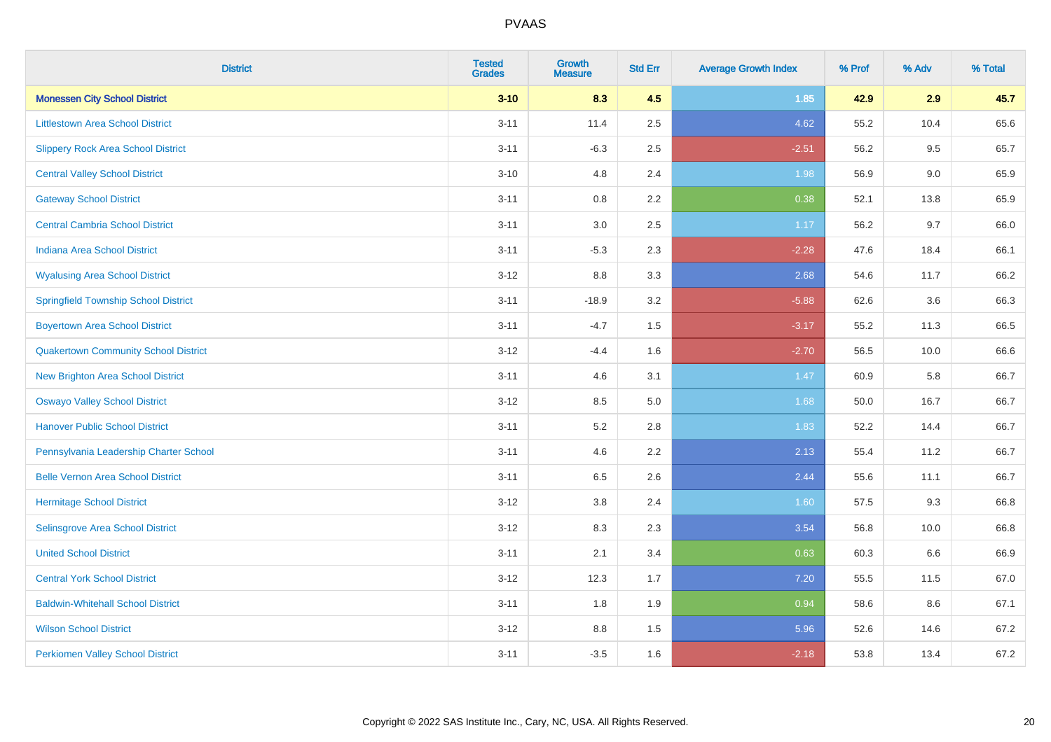| <b>District</b>                             | <b>Tested</b><br><b>Grades</b> | <b>Growth</b><br><b>Measure</b> | <b>Std Err</b> | <b>Average Growth Index</b> | % Prof | % Adv | % Total |
|---------------------------------------------|--------------------------------|---------------------------------|----------------|-----------------------------|--------|-------|---------|
| <b>Monessen City School District</b>        | $3 - 10$                       | 8.3                             | 4.5            | 1.85                        | 42.9   | 2.9   | 45.7    |
| <b>Littlestown Area School District</b>     | $3 - 11$                       | 11.4                            | 2.5            | 4.62                        | 55.2   | 10.4  | 65.6    |
| <b>Slippery Rock Area School District</b>   | $3 - 11$                       | $-6.3$                          | 2.5            | $-2.51$                     | 56.2   | 9.5   | 65.7    |
| <b>Central Valley School District</b>       | $3 - 10$                       | 4.8                             | 2.4            | 1.98                        | 56.9   | 9.0   | 65.9    |
| <b>Gateway School District</b>              | $3 - 11$                       | 0.8                             | 2.2            | 0.38                        | 52.1   | 13.8  | 65.9    |
| <b>Central Cambria School District</b>      | $3 - 11$                       | $3.0\,$                         | 2.5            | 1.17                        | 56.2   | 9.7   | 66.0    |
| Indiana Area School District                | $3 - 11$                       | $-5.3$                          | 2.3            | $-2.28$                     | 47.6   | 18.4  | 66.1    |
| <b>Wyalusing Area School District</b>       | $3 - 12$                       | 8.8                             | 3.3            | 2.68                        | 54.6   | 11.7  | 66.2    |
| <b>Springfield Township School District</b> | $3 - 11$                       | $-18.9$                         | 3.2            | $-5.88$                     | 62.6   | 3.6   | 66.3    |
| <b>Boyertown Area School District</b>       | $3 - 11$                       | $-4.7$                          | 1.5            | $-3.17$                     | 55.2   | 11.3  | 66.5    |
| <b>Quakertown Community School District</b> | $3-12$                         | $-4.4$                          | 1.6            | $-2.70$                     | 56.5   | 10.0  | 66.6    |
| <b>New Brighton Area School District</b>    | $3 - 11$                       | 4.6                             | 3.1            | 1.47                        | 60.9   | 5.8   | 66.7    |
| <b>Oswayo Valley School District</b>        | $3 - 12$                       | 8.5                             | 5.0            | 1.68                        | 50.0   | 16.7  | 66.7    |
| <b>Hanover Public School District</b>       | $3 - 11$                       | 5.2                             | 2.8            | 1.83                        | 52.2   | 14.4  | 66.7    |
| Pennsylvania Leadership Charter School      | $3 - 11$                       | 4.6                             | 2.2            | 2.13                        | 55.4   | 11.2  | 66.7    |
| <b>Belle Vernon Area School District</b>    | $3 - 11$                       | 6.5                             | 2.6            | 2.44                        | 55.6   | 11.1  | 66.7    |
| <b>Hermitage School District</b>            | $3 - 12$                       | 3.8                             | 2.4            | 1.60                        | 57.5   | 9.3   | 66.8    |
| Selinsgrove Area School District            | $3 - 12$                       | 8.3                             | 2.3            | 3.54                        | 56.8   | 10.0  | 66.8    |
| <b>United School District</b>               | $3 - 11$                       | 2.1                             | 3.4            | 0.63                        | 60.3   | 6.6   | 66.9    |
| <b>Central York School District</b>         | $3 - 12$                       | 12.3                            | 1.7            | 7.20                        | 55.5   | 11.5  | 67.0    |
| <b>Baldwin-Whitehall School District</b>    | $3 - 11$                       | 1.8                             | 1.9            | 0.94                        | 58.6   | 8.6   | 67.1    |
| <b>Wilson School District</b>               | $3 - 12$                       | 8.8                             | 1.5            | 5.96                        | 52.6   | 14.6  | 67.2    |
| <b>Perkiomen Valley School District</b>     | $3 - 11$                       | $-3.5$                          | 1.6            | $-2.18$                     | 53.8   | 13.4  | 67.2    |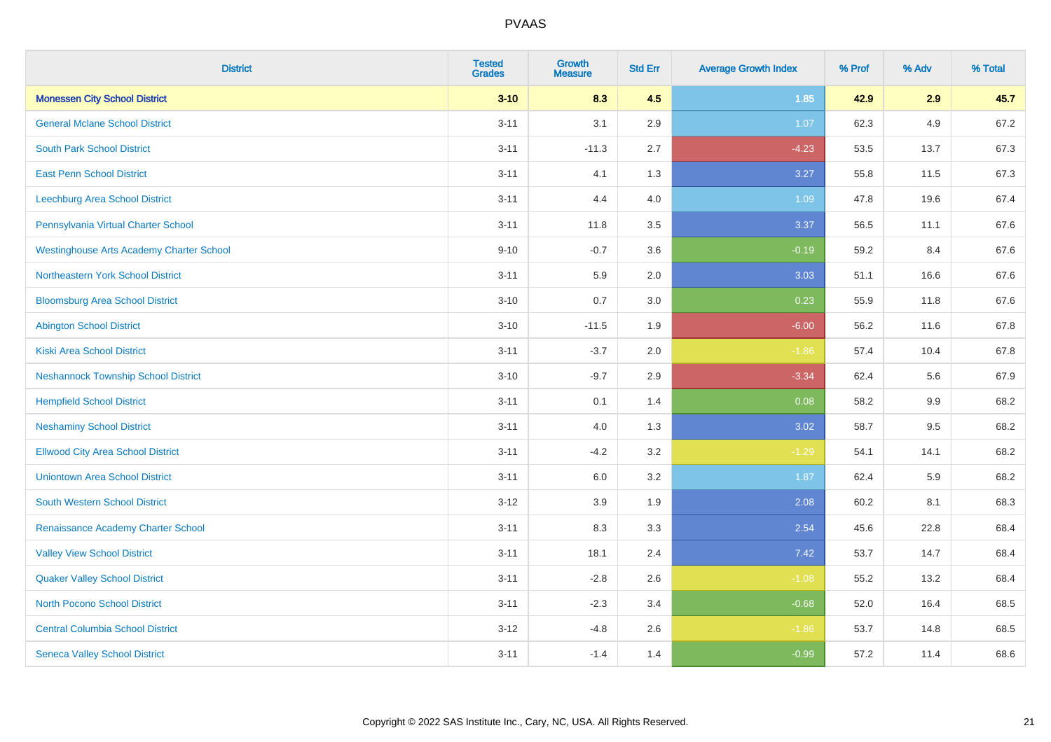| <b>District</b>                                 | <b>Tested</b><br><b>Grades</b> | <b>Growth</b><br><b>Measure</b> | <b>Std Err</b> | <b>Average Growth Index</b> | % Prof | % Adv   | % Total |
|-------------------------------------------------|--------------------------------|---------------------------------|----------------|-----------------------------|--------|---------|---------|
| <b>Monessen City School District</b>            | $3 - 10$                       | 8.3                             | 4.5            | 1.85                        | 42.9   | 2.9     | 45.7    |
| <b>General Mclane School District</b>           | $3 - 11$                       | 3.1                             | 2.9            | 1.07                        | 62.3   | 4.9     | 67.2    |
| <b>South Park School District</b>               | $3 - 11$                       | $-11.3$                         | 2.7            | $-4.23$                     | 53.5   | 13.7    | 67.3    |
| <b>East Penn School District</b>                | $3 - 11$                       | 4.1                             | 1.3            | 3.27                        | 55.8   | 11.5    | 67.3    |
| Leechburg Area School District                  | $3 - 11$                       | 4.4                             | 4.0            | 1.09                        | 47.8   | 19.6    | 67.4    |
| Pennsylvania Virtual Charter School             | $3 - 11$                       | 11.8                            | 3.5            | 3.37                        | 56.5   | 11.1    | 67.6    |
| <b>Westinghouse Arts Academy Charter School</b> | $9 - 10$                       | $-0.7$                          | 3.6            | $-0.19$                     | 59.2   | 8.4     | 67.6    |
| <b>Northeastern York School District</b>        | $3 - 11$                       | 5.9                             | 2.0            | 3.03                        | 51.1   | 16.6    | 67.6    |
| <b>Bloomsburg Area School District</b>          | $3 - 10$                       | 0.7                             | 3.0            | 0.23                        | 55.9   | 11.8    | 67.6    |
| <b>Abington School District</b>                 | $3 - 10$                       | $-11.5$                         | 1.9            | $-6.00$                     | 56.2   | 11.6    | 67.8    |
| <b>Kiski Area School District</b>               | $3 - 11$                       | $-3.7$                          | 2.0            | $-1.86$                     | 57.4   | 10.4    | 67.8    |
| <b>Neshannock Township School District</b>      | $3 - 10$                       | $-9.7$                          | 2.9            | $-3.34$                     | 62.4   | 5.6     | 67.9    |
| <b>Hempfield School District</b>                | $3 - 11$                       | 0.1                             | 1.4            | 0.08                        | 58.2   | $9.9\,$ | 68.2    |
| <b>Neshaminy School District</b>                | $3 - 11$                       | 4.0                             | 1.3            | 3.02                        | 58.7   | 9.5     | 68.2    |
| <b>Ellwood City Area School District</b>        | $3 - 11$                       | $-4.2$                          | 3.2            | $-1.29$                     | 54.1   | 14.1    | 68.2    |
| <b>Uniontown Area School District</b>           | $3 - 11$                       | 6.0                             | 3.2            | 1.87                        | 62.4   | 5.9     | 68.2    |
| <b>South Western School District</b>            | $3 - 12$                       | 3.9                             | 1.9            | 2.08                        | 60.2   | 8.1     | 68.3    |
| Renaissance Academy Charter School              | $3 - 11$                       | 8.3                             | 3.3            | 2.54                        | 45.6   | 22.8    | 68.4    |
| <b>Valley View School District</b>              | $3 - 11$                       | 18.1                            | 2.4            | 7.42                        | 53.7   | 14.7    | 68.4    |
| <b>Quaker Valley School District</b>            | $3 - 11$                       | $-2.8$                          | 2.6            | $-1.08$                     | 55.2   | 13.2    | 68.4    |
| North Pocono School District                    | $3 - 11$                       | $-2.3$                          | 3.4            | $-0.68$                     | 52.0   | 16.4    | 68.5    |
| <b>Central Columbia School District</b>         | $3 - 12$                       | $-4.8$                          | 2.6            | $-1.86$                     | 53.7   | 14.8    | 68.5    |
| <b>Seneca Valley School District</b>            | $3 - 11$                       | $-1.4$                          | 1.4            | $-0.99$                     | 57.2   | 11.4    | 68.6    |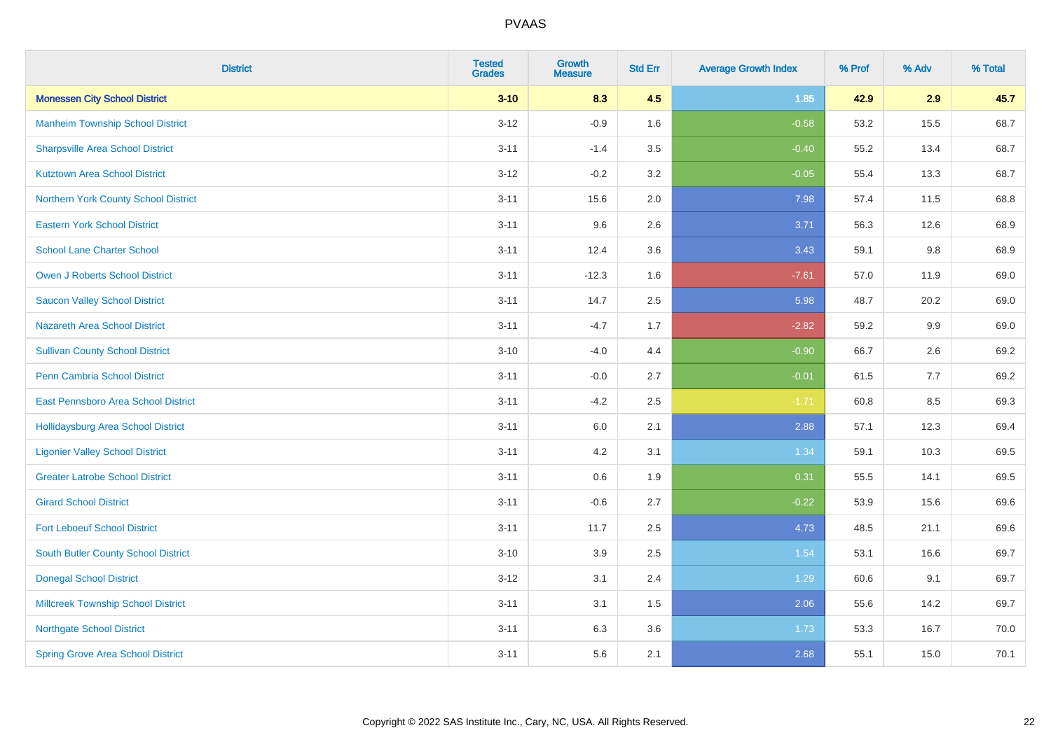| <b>District</b>                            | <b>Tested</b><br><b>Grades</b> | <b>Growth</b><br><b>Measure</b> | <b>Std Err</b> | <b>Average Growth Index</b> | % Prof | % Adv | % Total |
|--------------------------------------------|--------------------------------|---------------------------------|----------------|-----------------------------|--------|-------|---------|
| <b>Monessen City School District</b>       | $3 - 10$                       | 8.3                             | 4.5            | 1.85                        | 42.9   | 2.9   | 45.7    |
| <b>Manheim Township School District</b>    | $3 - 12$                       | $-0.9$                          | 1.6            | $-0.58$                     | 53.2   | 15.5  | 68.7    |
| <b>Sharpsville Area School District</b>    | $3 - 11$                       | $-1.4$                          | 3.5            | $-0.40$                     | 55.2   | 13.4  | 68.7    |
| <b>Kutztown Area School District</b>       | $3-12$                         | $-0.2$                          | 3.2            | $-0.05$                     | 55.4   | 13.3  | 68.7    |
| Northern York County School District       | $3 - 11$                       | 15.6                            | 2.0            | 7.98                        | 57.4   | 11.5  | 68.8    |
| <b>Eastern York School District</b>        | $3 - 11$                       | 9.6                             | 2.6            | 3.71                        | 56.3   | 12.6  | 68.9    |
| <b>School Lane Charter School</b>          | $3 - 11$                       | 12.4                            | 3.6            | 3.43                        | 59.1   | 9.8   | 68.9    |
| <b>Owen J Roberts School District</b>      | $3 - 11$                       | $-12.3$                         | 1.6            | $-7.61$                     | 57.0   | 11.9  | 69.0    |
| <b>Saucon Valley School District</b>       | $3 - 11$                       | 14.7                            | 2.5            | 5.98                        | 48.7   | 20.2  | 69.0    |
| <b>Nazareth Area School District</b>       | $3 - 11$                       | $-4.7$                          | 1.7            | $-2.82$                     | 59.2   | 9.9   | 69.0    |
| <b>Sullivan County School District</b>     | $3 - 10$                       | $-4.0$                          | 4.4            | $-0.90$                     | 66.7   | 2.6   | 69.2    |
| <b>Penn Cambria School District</b>        | $3 - 11$                       | $-0.0$                          | 2.7            | $-0.01$                     | 61.5   | 7.7   | 69.2    |
| East Pennsboro Area School District        | $3 - 11$                       | $-4.2$                          | 2.5            | $-1.71$                     | 60.8   | 8.5   | 69.3    |
| <b>Hollidaysburg Area School District</b>  | $3 - 11$                       | 6.0                             | 2.1            | 2.88                        | 57.1   | 12.3  | 69.4    |
| <b>Ligonier Valley School District</b>     | $3 - 11$                       | 4.2                             | 3.1            | 1.34                        | 59.1   | 10.3  | 69.5    |
| <b>Greater Latrobe School District</b>     | $3 - 11$                       | $0.6\,$                         | 1.9            | 0.31                        | 55.5   | 14.1  | 69.5    |
| <b>Girard School District</b>              | $3 - 11$                       | $-0.6$                          | 2.7            | $-0.22$                     | 53.9   | 15.6  | 69.6    |
| <b>Fort Leboeuf School District</b>        | $3 - 11$                       | 11.7                            | 2.5            | 4.73                        | 48.5   | 21.1  | 69.6    |
| <b>South Butler County School District</b> | $3 - 10$                       | 3.9                             | 2.5            | 1.54                        | 53.1   | 16.6  | 69.7    |
| <b>Donegal School District</b>             | $3 - 12$                       | 3.1                             | 2.4            | 1.29                        | 60.6   | 9.1   | 69.7    |
| <b>Millcreek Township School District</b>  | $3 - 11$                       | 3.1                             | 1.5            | 2.06                        | 55.6   | 14.2  | 69.7    |
| <b>Northgate School District</b>           | $3 - 11$                       | 6.3                             | 3.6            | 1.73                        | 53.3   | 16.7  | 70.0    |
| <b>Spring Grove Area School District</b>   | $3 - 11$                       | 5.6                             | 2.1            | 2.68                        | 55.1   | 15.0  | 70.1    |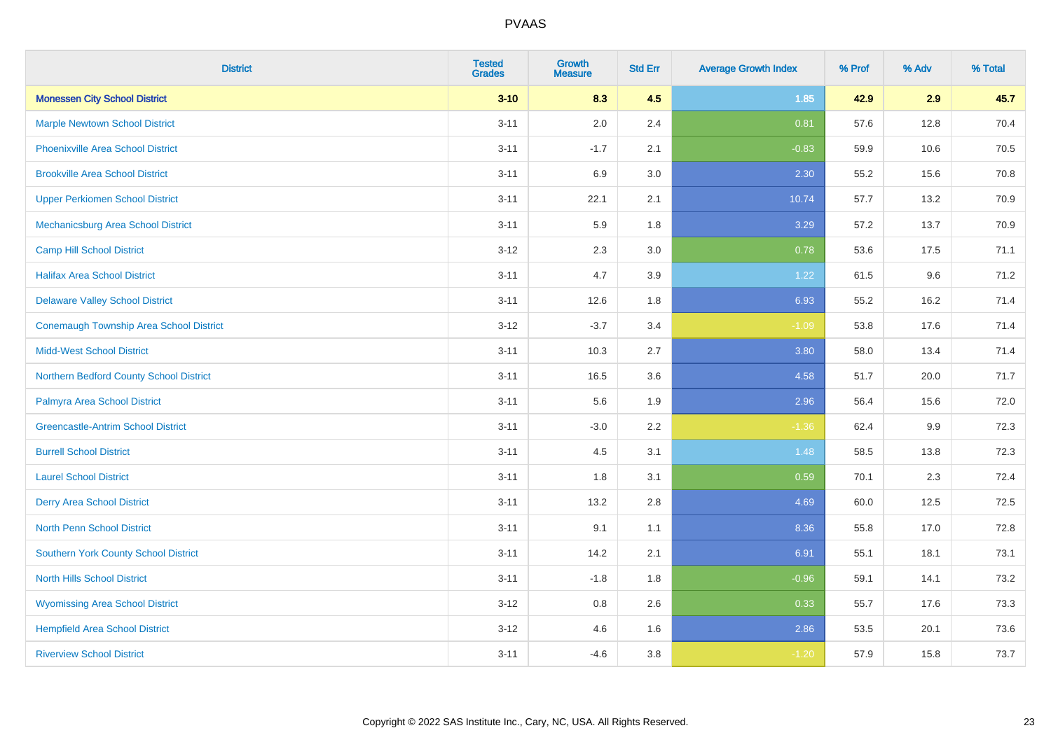| <b>District</b>                                | <b>Tested</b><br><b>Grades</b> | <b>Growth</b><br><b>Measure</b> | <b>Std Err</b> | <b>Average Growth Index</b> | % Prof | % Adv | % Total |
|------------------------------------------------|--------------------------------|---------------------------------|----------------|-----------------------------|--------|-------|---------|
| <b>Monessen City School District</b>           | $3 - 10$                       | 8.3                             | 4.5            | 1.85                        | 42.9   | 2.9   | 45.7    |
| <b>Marple Newtown School District</b>          | $3 - 11$                       | 2.0                             | 2.4            | 0.81                        | 57.6   | 12.8  | 70.4    |
| <b>Phoenixville Area School District</b>       | $3 - 11$                       | $-1.7$                          | 2.1            | $-0.83$                     | 59.9   | 10.6  | 70.5    |
| <b>Brookville Area School District</b>         | $3 - 11$                       | 6.9                             | 3.0            | 2.30                        | 55.2   | 15.6  | 70.8    |
| <b>Upper Perkiomen School District</b>         | $3 - 11$                       | 22.1                            | 2.1            | 10.74                       | 57.7   | 13.2  | 70.9    |
| Mechanicsburg Area School District             | $3 - 11$                       | 5.9                             | 1.8            | 3.29                        | 57.2   | 13.7  | 70.9    |
| <b>Camp Hill School District</b>               | $3 - 12$                       | 2.3                             | 3.0            | 0.78                        | 53.6   | 17.5  | 71.1    |
| <b>Halifax Area School District</b>            | $3 - 11$                       | 4.7                             | 3.9            | 1.22                        | 61.5   | 9.6   | 71.2    |
| <b>Delaware Valley School District</b>         | $3 - 11$                       | 12.6                            | 1.8            | 6.93                        | 55.2   | 16.2  | 71.4    |
| <b>Conemaugh Township Area School District</b> | $3 - 12$                       | $-3.7$                          | 3.4            | $-1.09$                     | 53.8   | 17.6  | 71.4    |
| <b>Midd-West School District</b>               | $3 - 11$                       | 10.3                            | 2.7            | 3.80                        | 58.0   | 13.4  | 71.4    |
| Northern Bedford County School District        | $3 - 11$                       | 16.5                            | 3.6            | 4.58                        | 51.7   | 20.0  | 71.7    |
| Palmyra Area School District                   | $3 - 11$                       | 5.6                             | 1.9            | 2.96                        | 56.4   | 15.6  | 72.0    |
| <b>Greencastle-Antrim School District</b>      | $3 - 11$                       | $-3.0$                          | 2.2            | $-1.36$                     | 62.4   | 9.9   | 72.3    |
| <b>Burrell School District</b>                 | $3 - 11$                       | 4.5                             | 3.1            | 1.48                        | 58.5   | 13.8  | 72.3    |
| <b>Laurel School District</b>                  | $3 - 11$                       | 1.8                             | 3.1            | 0.59                        | 70.1   | 2.3   | 72.4    |
| <b>Derry Area School District</b>              | $3 - 11$                       | 13.2                            | 2.8            | 4.69                        | 60.0   | 12.5  | 72.5    |
| <b>North Penn School District</b>              | $3 - 11$                       | 9.1                             | 1.1            | 8.36                        | 55.8   | 17.0  | 72.8    |
| <b>Southern York County School District</b>    | $3 - 11$                       | 14.2                            | 2.1            | 6.91                        | 55.1   | 18.1  | 73.1    |
| <b>North Hills School District</b>             | $3 - 11$                       | $-1.8$                          | 1.8            | $-0.96$                     | 59.1   | 14.1  | 73.2    |
| <b>Wyomissing Area School District</b>         | $3 - 12$                       | 0.8                             | 2.6            | 0.33                        | 55.7   | 17.6  | 73.3    |
| <b>Hempfield Area School District</b>          | $3 - 12$                       | 4.6                             | 1.6            | 2.86                        | 53.5   | 20.1  | 73.6    |
| <b>Riverview School District</b>               | $3 - 11$                       | $-4.6$                          | 3.8            | $-1.20$                     | 57.9   | 15.8  | 73.7    |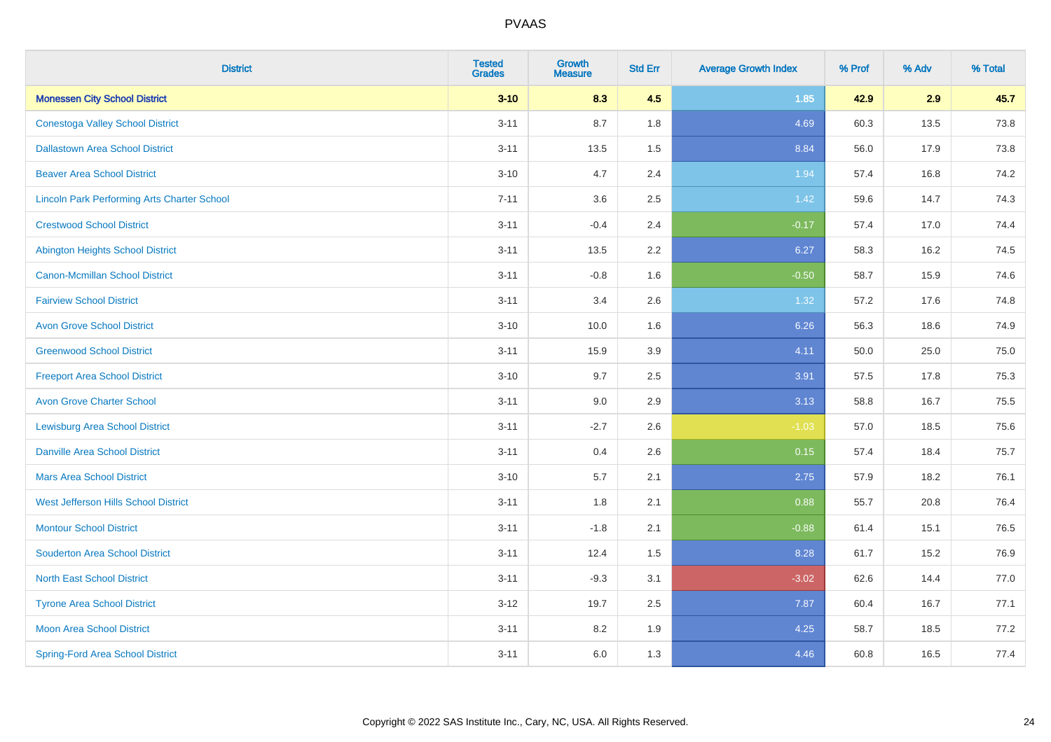| <b>District</b>                                    | <b>Tested</b><br><b>Grades</b> | <b>Growth</b><br><b>Measure</b> | <b>Std Err</b> | <b>Average Growth Index</b> | % Prof | % Adv | % Total |
|----------------------------------------------------|--------------------------------|---------------------------------|----------------|-----------------------------|--------|-------|---------|
| <b>Monessen City School District</b>               | $3 - 10$                       | 8.3                             | 4.5            | $1.85$                      | 42.9   | 2.9   | 45.7    |
| <b>Conestoga Valley School District</b>            | $3 - 11$                       | 8.7                             | 1.8            | 4.69                        | 60.3   | 13.5  | 73.8    |
| <b>Dallastown Area School District</b>             | $3 - 11$                       | 13.5                            | 1.5            | 8.84                        | 56.0   | 17.9  | 73.8    |
| <b>Beaver Area School District</b>                 | $3 - 10$                       | 4.7                             | 2.4            | 1.94                        | 57.4   | 16.8  | 74.2    |
| <b>Lincoln Park Performing Arts Charter School</b> | $7 - 11$                       | 3.6                             | 2.5            | 1.42                        | 59.6   | 14.7  | 74.3    |
| <b>Crestwood School District</b>                   | $3 - 11$                       | $-0.4$                          | 2.4            | $-0.17$                     | 57.4   | 17.0  | 74.4    |
| <b>Abington Heights School District</b>            | $3 - 11$                       | 13.5                            | 2.2            | 6.27                        | 58.3   | 16.2  | 74.5    |
| <b>Canon-Mcmillan School District</b>              | $3 - 11$                       | $-0.8$                          | 1.6            | $-0.50$                     | 58.7   | 15.9  | 74.6    |
| <b>Fairview School District</b>                    | $3 - 11$                       | 3.4                             | 2.6            | 1.32                        | 57.2   | 17.6  | 74.8    |
| <b>Avon Grove School District</b>                  | $3 - 10$                       | 10.0                            | 1.6            | 6.26                        | 56.3   | 18.6  | 74.9    |
| <b>Greenwood School District</b>                   | $3 - 11$                       | 15.9                            | 3.9            | 4.11                        | 50.0   | 25.0  | 75.0    |
| <b>Freeport Area School District</b>               | $3 - 10$                       | 9.7                             | 2.5            | 3.91                        | 57.5   | 17.8  | 75.3    |
| <b>Avon Grove Charter School</b>                   | $3 - 11$                       | 9.0                             | 2.9            | 3.13                        | 58.8   | 16.7  | 75.5    |
| <b>Lewisburg Area School District</b>              | $3 - 11$                       | $-2.7$                          | 2.6            | $-1.03$                     | 57.0   | 18.5  | 75.6    |
| <b>Danville Area School District</b>               | $3 - 11$                       | 0.4                             | 2.6            | 0.15                        | 57.4   | 18.4  | 75.7    |
| <b>Mars Area School District</b>                   | $3 - 10$                       | 5.7                             | 2.1            | 2.75                        | 57.9   | 18.2  | 76.1    |
| West Jefferson Hills School District               | $3 - 11$                       | 1.8                             | 2.1            | 0.88                        | 55.7   | 20.8  | 76.4    |
| <b>Montour School District</b>                     | $3 - 11$                       | $-1.8$                          | 2.1            | $-0.88$                     | 61.4   | 15.1  | 76.5    |
| <b>Souderton Area School District</b>              | $3 - 11$                       | 12.4                            | 1.5            | 8.28                        | 61.7   | 15.2  | 76.9    |
| <b>North East School District</b>                  | $3 - 11$                       | $-9.3$                          | 3.1            | $-3.02$                     | 62.6   | 14.4  | 77.0    |
| <b>Tyrone Area School District</b>                 | $3-12$                         | 19.7                            | 2.5            | 7.87                        | 60.4   | 16.7  | 77.1    |
| <b>Moon Area School District</b>                   | $3 - 11$                       | 8.2                             | 1.9            | 4.25                        | 58.7   | 18.5  | 77.2    |
| <b>Spring-Ford Area School District</b>            | $3 - 11$                       | 6.0                             | 1.3            | 4.46                        | 60.8   | 16.5  | 77.4    |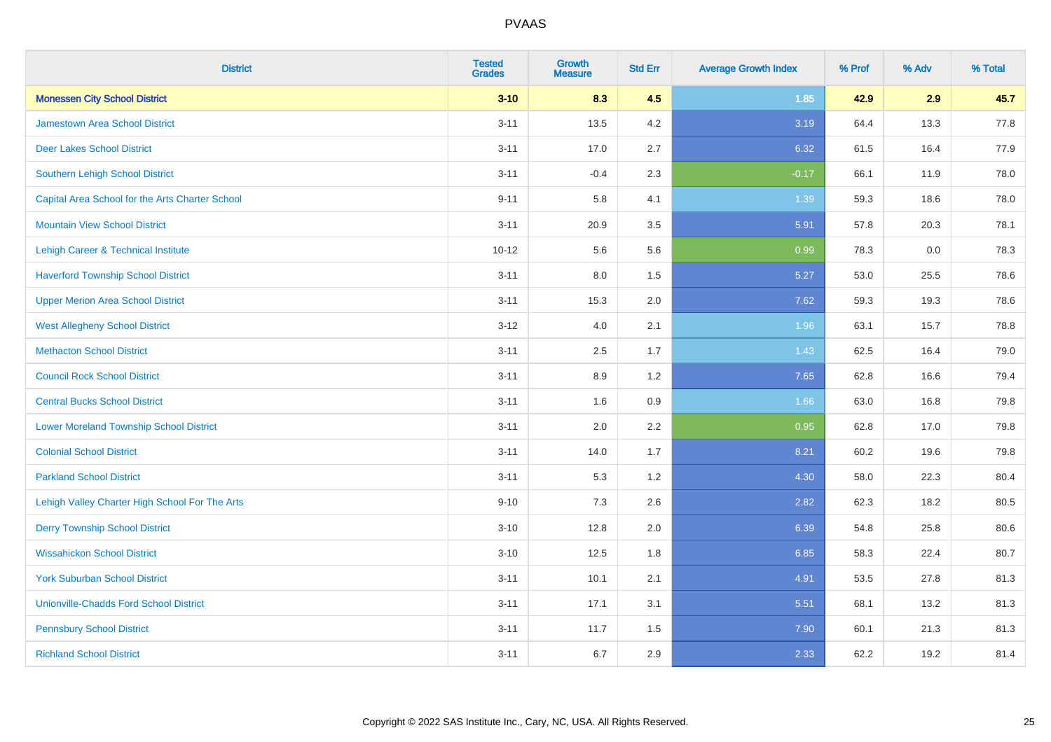| <b>District</b>                                 | <b>Tested</b><br><b>Grades</b> | <b>Growth</b><br><b>Measure</b> | <b>Std Err</b> | <b>Average Growth Index</b> | % Prof | % Adv | % Total |
|-------------------------------------------------|--------------------------------|---------------------------------|----------------|-----------------------------|--------|-------|---------|
| <b>Monessen City School District</b>            | $3 - 10$                       | 8.3                             | 4.5            | 1.85                        | 42.9   | 2.9   | 45.7    |
| <b>Jamestown Area School District</b>           | $3 - 11$                       | 13.5                            | 4.2            | 3.19                        | 64.4   | 13.3  | 77.8    |
| <b>Deer Lakes School District</b>               | $3 - 11$                       | 17.0                            | 2.7            | 6.32                        | 61.5   | 16.4  | 77.9    |
| Southern Lehigh School District                 | $3 - 11$                       | $-0.4$                          | 2.3            | $-0.17$                     | 66.1   | 11.9  | 78.0    |
| Capital Area School for the Arts Charter School | $9 - 11$                       | 5.8                             | 4.1            | 1.39                        | 59.3   | 18.6  | 78.0    |
| <b>Mountain View School District</b>            | $3 - 11$                       | 20.9                            | 3.5            | 5.91                        | 57.8   | 20.3  | 78.1    |
| Lehigh Career & Technical Institute             | $10 - 12$                      | 5.6                             | 5.6            | 0.99                        | 78.3   | 0.0   | 78.3    |
| <b>Haverford Township School District</b>       | $3 - 11$                       | 8.0                             | 1.5            | 5.27                        | 53.0   | 25.5  | 78.6    |
| <b>Upper Merion Area School District</b>        | $3 - 11$                       | 15.3                            | 2.0            | 7.62                        | 59.3   | 19.3  | 78.6    |
| <b>West Allegheny School District</b>           | $3 - 12$                       | 4.0                             | 2.1            | 1.96                        | 63.1   | 15.7  | 78.8    |
| <b>Methacton School District</b>                | $3 - 11$                       | 2.5                             | 1.7            | 1.43                        | 62.5   | 16.4  | 79.0    |
| <b>Council Rock School District</b>             | $3 - 11$                       | 8.9                             | 1.2            | 7.65                        | 62.8   | 16.6  | 79.4    |
| <b>Central Bucks School District</b>            | $3 - 11$                       | 1.6                             | 0.9            | 1.66                        | 63.0   | 16.8  | 79.8    |
| <b>Lower Moreland Township School District</b>  | $3 - 11$                       | 2.0                             | 2.2            | 0.95                        | 62.8   | 17.0  | 79.8    |
| <b>Colonial School District</b>                 | $3 - 11$                       | 14.0                            | 1.7            | 8.21                        | 60.2   | 19.6  | 79.8    |
| <b>Parkland School District</b>                 | $3 - 11$                       | 5.3                             | 1.2            | 4.30                        | 58.0   | 22.3  | 80.4    |
| Lehigh Valley Charter High School For The Arts  | $9 - 10$                       | 7.3                             | 2.6            | 2.82                        | 62.3   | 18.2  | 80.5    |
| <b>Derry Township School District</b>           | $3 - 10$                       | 12.8                            | 2.0            | 6.39                        | 54.8   | 25.8  | 80.6    |
| <b>Wissahickon School District</b>              | $3 - 10$                       | 12.5                            | 1.8            | 6.85                        | 58.3   | 22.4  | 80.7    |
| <b>York Suburban School District</b>            | $3 - 11$                       | 10.1                            | 2.1            | 4.91                        | 53.5   | 27.8  | 81.3    |
| <b>Unionville-Chadds Ford School District</b>   | $3 - 11$                       | 17.1                            | 3.1            | 5.51                        | 68.1   | 13.2  | 81.3    |
| <b>Pennsbury School District</b>                | $3 - 11$                       | 11.7                            | 1.5            | 7.90                        | 60.1   | 21.3  | 81.3    |
| <b>Richland School District</b>                 | $3 - 11$                       | 6.7                             | 2.9            | 2.33                        | 62.2   | 19.2  | 81.4    |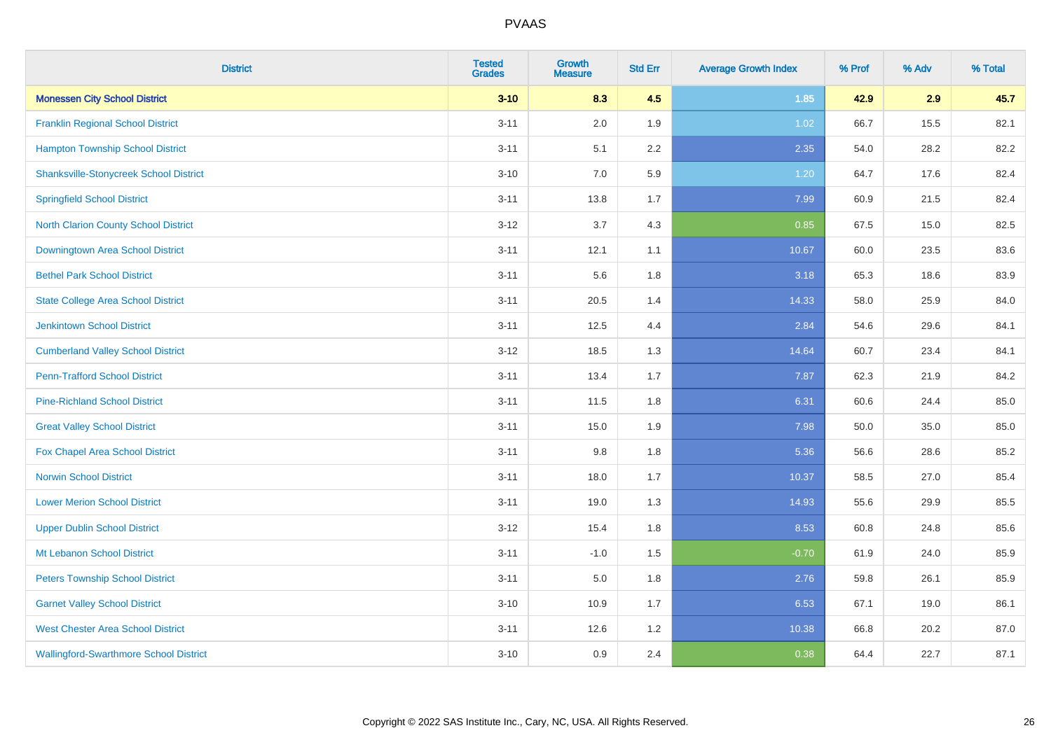| <b>District</b>                               | <b>Tested</b><br><b>Grades</b> | <b>Growth</b><br><b>Measure</b> | <b>Std Err</b> | <b>Average Growth Index</b> | % Prof | % Adv | % Total |
|-----------------------------------------------|--------------------------------|---------------------------------|----------------|-----------------------------|--------|-------|---------|
| <b>Monessen City School District</b>          | $3 - 10$                       | 8.3                             | 4.5            | 1.85                        | 42.9   | 2.9   | 45.7    |
| <b>Franklin Regional School District</b>      | $3 - 11$                       | 2.0                             | 1.9            | 1.02                        | 66.7   | 15.5  | 82.1    |
| <b>Hampton Township School District</b>       | $3 - 11$                       | 5.1                             | 2.2            | 2.35                        | 54.0   | 28.2  | 82.2    |
| <b>Shanksville-Stonycreek School District</b> | $3 - 10$                       | 7.0                             | 5.9            | 1.20                        | 64.7   | 17.6  | 82.4    |
| <b>Springfield School District</b>            | $3 - 11$                       | 13.8                            | 1.7            | 7.99                        | 60.9   | 21.5  | 82.4    |
| <b>North Clarion County School District</b>   | $3 - 12$                       | 3.7                             | 4.3            | 0.85                        | 67.5   | 15.0  | 82.5    |
| Downingtown Area School District              | $3 - 11$                       | 12.1                            | 1.1            | 10.67                       | 60.0   | 23.5  | 83.6    |
| <b>Bethel Park School District</b>            | $3 - 11$                       | 5.6                             | 1.8            | 3.18                        | 65.3   | 18.6  | 83.9    |
| <b>State College Area School District</b>     | $3 - 11$                       | 20.5                            | 1.4            | 14.33                       | 58.0   | 25.9  | 84.0    |
| <b>Jenkintown School District</b>             | $3 - 11$                       | 12.5                            | 4.4            | 2.84                        | 54.6   | 29.6  | 84.1    |
| <b>Cumberland Valley School District</b>      | $3 - 12$                       | 18.5                            | 1.3            | 14.64                       | 60.7   | 23.4  | 84.1    |
| <b>Penn-Trafford School District</b>          | $3 - 11$                       | 13.4                            | 1.7            | 7.87                        | 62.3   | 21.9  | 84.2    |
| <b>Pine-Richland School District</b>          | $3 - 11$                       | 11.5                            | 1.8            | 6.31                        | 60.6   | 24.4  | 85.0    |
| <b>Great Valley School District</b>           | $3 - 11$                       | 15.0                            | 1.9            | 7.98                        | 50.0   | 35.0  | 85.0    |
| Fox Chapel Area School District               | $3 - 11$                       | 9.8                             | 1.8            | 5.36                        | 56.6   | 28.6  | 85.2    |
| <b>Norwin School District</b>                 | $3 - 11$                       | 18.0                            | 1.7            | 10.37                       | 58.5   | 27.0  | 85.4    |
| <b>Lower Merion School District</b>           | $3 - 11$                       | 19.0                            | 1.3            | 14.93                       | 55.6   | 29.9  | 85.5    |
| <b>Upper Dublin School District</b>           | $3 - 12$                       | 15.4                            | 1.8            | 8.53                        | 60.8   | 24.8  | 85.6    |
| Mt Lebanon School District                    | $3 - 11$                       | $-1.0$                          | 1.5            | $-0.70$                     | 61.9   | 24.0  | 85.9    |
| <b>Peters Township School District</b>        | $3 - 11$                       | 5.0                             | 1.8            | 2.76                        | 59.8   | 26.1  | 85.9    |
| <b>Garnet Valley School District</b>          | $3 - 10$                       | 10.9                            | 1.7            | 6.53                        | 67.1   | 19.0  | 86.1    |
| <b>West Chester Area School District</b>      | $3 - 11$                       | 12.6                            | 1.2            | 10.38                       | 66.8   | 20.2  | 87.0    |
| <b>Wallingford-Swarthmore School District</b> | $3 - 10$                       | 0.9                             | 2.4            | 0.38                        | 64.4   | 22.7  | 87.1    |